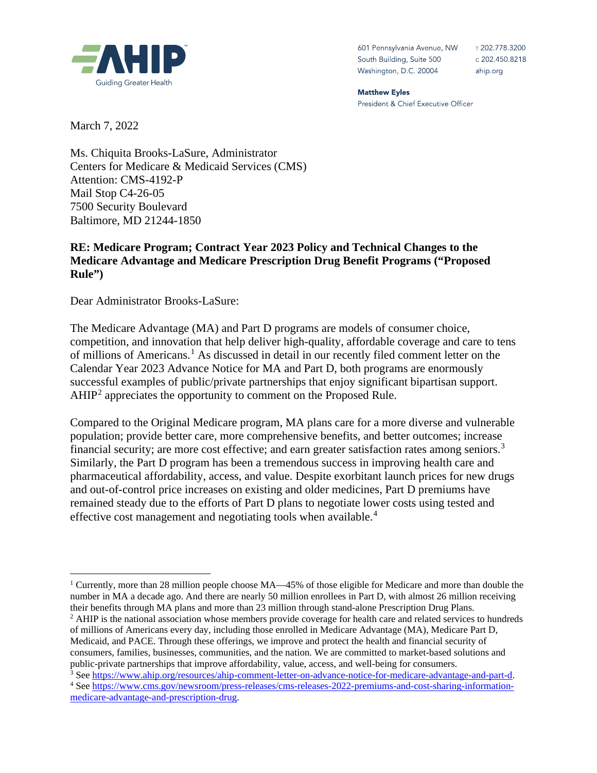

601 Pennsylvania Avenue, NW South Building, Suite 500 Washington, D.C. 20004

T 202.778.3200 c 202.450.8218 ahip.org

**Matthew Eyles** President & Chief Executive Officer

March 7, 2022

Ms. Chiquita Brooks-LaSure, Administrator Centers for Medicare & Medicaid Services (CMS) Attention: CMS-4192-P Mail Stop C4-26-05 7500 Security Boulevard Baltimore, MD 21244-1850

#### **RE: Medicare Program; Contract Year 2023 Policy and Technical Changes to the Medicare Advantage and Medicare Prescription Drug Benefit Programs ("Proposed Rule")**

Dear Administrator Brooks-LaSure:

The Medicare Advantage (MA) and Part D programs are models of consumer choice, competition, and innovation that help deliver high-quality, affordable coverage and care to tens of millions of Americans.[1](#page-0-0) As discussed in detail in our recently filed comment letter on the Calendar Year 2023 Advance Notice for MA and Part D, both programs are enormously successful examples of public/private partnerships that enjoy significant bipartisan support. AHIP[2](#page-0-1) appreciates the opportunity to comment on the Proposed Rule.

Compared to the Original Medicare program, MA plans care for a more diverse and vulnerable population; provide better care, more comprehensive benefits, and better outcomes; increase financial security; are more cost effective; and earn greater satisfaction rates among seniors.<sup>[3](#page-0-2)</sup> Similarly, the Part D program has been a tremendous success in improving health care and pharmaceutical affordability, access, and value. Despite exorbitant launch prices for new drugs and out-of-control price increases on existing and older medicines, Part D premiums have remained steady due to the efforts of Part D plans to negotiate lower costs using tested and effective cost management and negotiating tools when available.<sup>[4](#page-0-3)</sup>

<span id="page-0-0"></span><sup>&</sup>lt;sup>1</sup> Currently, more than 28 million people choose  $MA$ —45% of those eligible for Medicare and more than double the number in MA a decade ago. And there are nearly 50 million enrollees in Part D, with almost 26 million receiving their benefits through MA plans and more than 23 million through stand-alone Prescription Drug Plans. <sup>2</sup> AHIP is the national association whose members provide coverage for health care and related services to hundreds

<span id="page-0-1"></span>of millions of Americans every day, including those enrolled in Medicare Advantage (MA), Medicare Part D, Medicaid, and PACE. Through these offerings, we improve and protect the health and financial security of consumers, families, businesses, communities, and the nation. We are committed to market-based solutions and public-private partnerships that improve affordability, value, access, and well-being for consumers.<br>
<sup>3</sup> Se[e https://www.ahip.org/resources/ahip-comment-letter-on-advance-notice-for-medicare-advantage-and-part-d.](https://www.ahip.org/resources/ahip-comment-letter-on-advance-notice-for-medicare-advantage-and-part-d)<br>
<sup>4</sup> See

<span id="page-0-2"></span>

<span id="page-0-3"></span>[medicare-advantage-and-prescription-drug.](https://www.cms.gov/newsroom/press-releases/cms-releases-2022-premiums-and-cost-sharing-information-medicare-advantage-and-prescription-drug)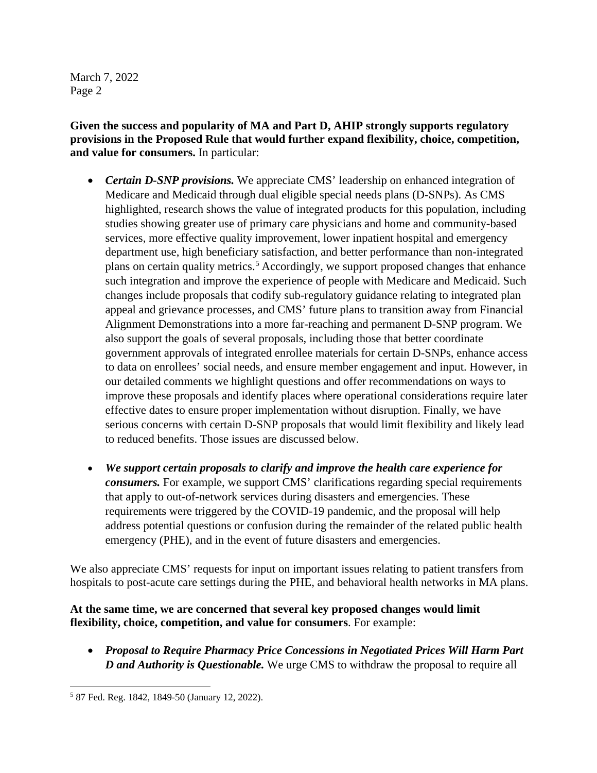**Given the success and popularity of MA and Part D, AHIP strongly supports regulatory provisions in the Proposed Rule that would further expand flexibility, choice, competition, and value for consumers.** In particular:

- *Certain D-SNP provisions.* We appreciate CMS' leadership on enhanced integration of Medicare and Medicaid through dual eligible special needs plans (D-SNPs). As CMS highlighted, research shows the value of integrated products for this population, including studies showing greater use of primary care physicians and home and community-based services, more effective quality improvement, lower inpatient hospital and emergency department use, high beneficiary satisfaction, and better performance than non-integrated plans on certain quality metrics.<sup>[5](#page-1-0)</sup> Accordingly, we support proposed changes that enhance such integration and improve the experience of people with Medicare and Medicaid. Such changes include proposals that codify sub-regulatory guidance relating to integrated plan appeal and grievance processes, and CMS' future plans to transition away from Financial Alignment Demonstrations into a more far-reaching and permanent D-SNP program. We also support the goals of several proposals, including those that better coordinate government approvals of integrated enrollee materials for certain D-SNPs, enhance access to data on enrollees' social needs, and ensure member engagement and input. However, in our detailed comments we highlight questions and offer recommendations on ways to improve these proposals and identify places where operational considerations require later effective dates to ensure proper implementation without disruption. Finally, we have serious concerns with certain D-SNP proposals that would limit flexibility and likely lead to reduced benefits. Those issues are discussed below.
- *We support certain proposals to clarify and improve the health care experience for consumers.* For example, we support CMS' clarifications regarding special requirements that apply to out-of-network services during disasters and emergencies. These requirements were triggered by the COVID-19 pandemic, and the proposal will help address potential questions or confusion during the remainder of the related public health emergency (PHE), and in the event of future disasters and emergencies.

We also appreciate CMS' requests for input on important issues relating to patient transfers from hospitals to post-acute care settings during the PHE, and behavioral health networks in MA plans.

# **At the same time, we are concerned that several key proposed changes would limit flexibility, choice, competition, and value for consumers**. For example:

• *Proposal to Require Pharmacy Price Concessions in Negotiated Prices Will Harm Part D and Authority is Questionable.* We urge CMS to withdraw the proposal to require all

<span id="page-1-0"></span><sup>5</sup> 87 Fed. Reg. 1842, 1849-50 (January 12, 2022).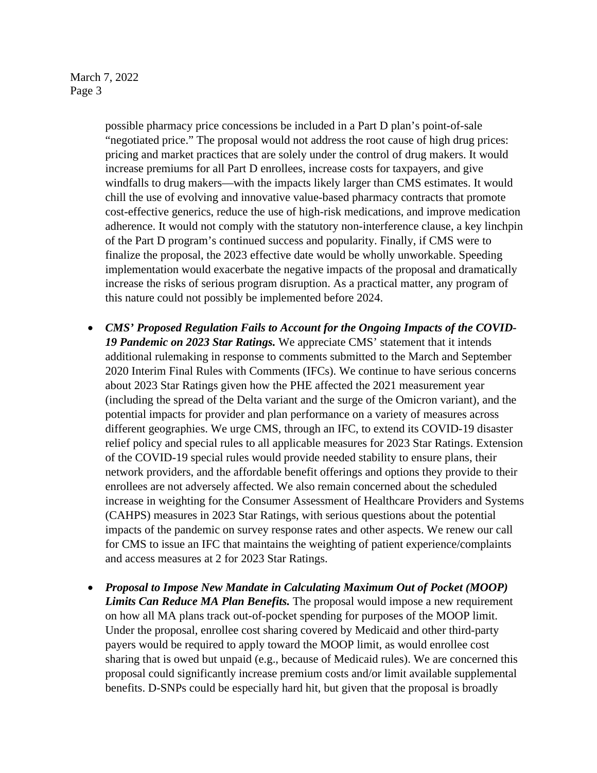possible pharmacy price concessions be included in a Part D plan's point-of-sale "negotiated price." The proposal would not address the root cause of high drug prices: pricing and market practices that are solely under the control of drug makers. It would increase premiums for all Part D enrollees, increase costs for taxpayers, and give windfalls to drug makers—with the impacts likely larger than CMS estimates. It would chill the use of evolving and innovative value-based pharmacy contracts that promote cost-effective generics, reduce the use of high-risk medications, and improve medication adherence. It would not comply with the statutory non-interference clause, a key linchpin of the Part D program's continued success and popularity. Finally, if CMS were to finalize the proposal, the 2023 effective date would be wholly unworkable. Speeding implementation would exacerbate the negative impacts of the proposal and dramatically increase the risks of serious program disruption. As a practical matter, any program of this nature could not possibly be implemented before 2024.

- *CMS' Proposed Regulation Fails to Account for the Ongoing Impacts of the COVID-19 Pandemic on 2023 Star Ratings.* We appreciate CMS' statement that it intends additional rulemaking in response to comments submitted to the March and September 2020 Interim Final Rules with Comments (IFCs). We continue to have serious concerns about 2023 Star Ratings given how the PHE affected the 2021 measurement year (including the spread of the Delta variant and the surge of the Omicron variant), and the potential impacts for provider and plan performance on a variety of measures across different geographies. We urge CMS, through an IFC, to extend its COVID-19 disaster relief policy and special rules to all applicable measures for 2023 Star Ratings. Extension of the COVID-19 special rules would provide needed stability to ensure plans, their network providers, and the affordable benefit offerings and options they provide to their enrollees are not adversely affected. We also remain concerned about the scheduled increase in weighting for the Consumer Assessment of Healthcare Providers and Systems (CAHPS) measures in 2023 Star Ratings, with serious questions about the potential impacts of the pandemic on survey response rates and other aspects. We renew our call for CMS to issue an IFC that maintains the weighting of patient experience/complaints and access measures at 2 for 2023 Star Ratings.
- *Proposal to Impose New Mandate in Calculating Maximum Out of Pocket (MOOP) Limits Can Reduce MA Plan Benefits.* The proposal would impose a new requirement on how all MA plans track out-of-pocket spending for purposes of the MOOP limit. Under the proposal, enrollee cost sharing covered by Medicaid and other third-party payers would be required to apply toward the MOOP limit, as would enrollee cost sharing that is owed but unpaid (e.g., because of Medicaid rules). We are concerned this proposal could significantly increase premium costs and/or limit available supplemental benefits. D-SNPs could be especially hard hit, but given that the proposal is broadly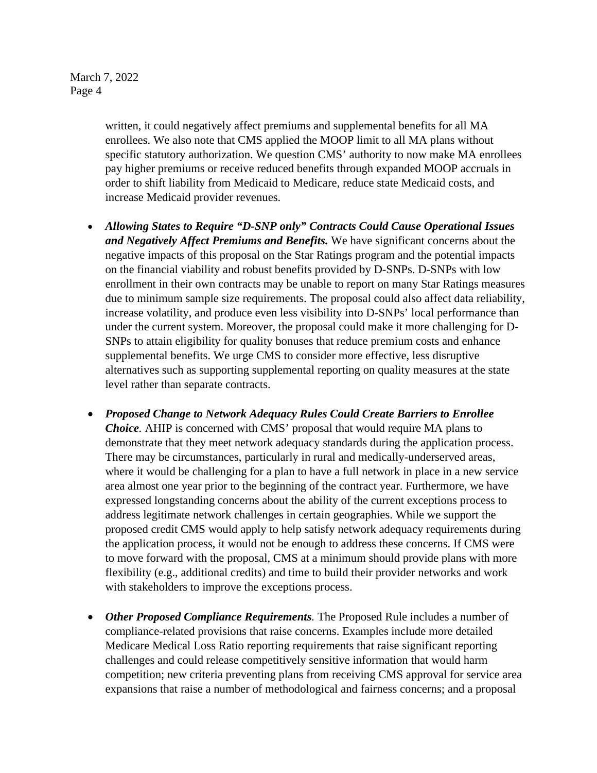> written, it could negatively affect premiums and supplemental benefits for all MA enrollees. We also note that CMS applied the MOOP limit to all MA plans without specific statutory authorization. We question CMS' authority to now make MA enrollees pay higher premiums or receive reduced benefits through expanded MOOP accruals in order to shift liability from Medicaid to Medicare, reduce state Medicaid costs, and increase Medicaid provider revenues.

- *Allowing States to Require "D-SNP only" Contracts Could Cause Operational Issues and Negatively Affect Premiums and Benefits.* We have significant concerns about the negative impacts of this proposal on the Star Ratings program and the potential impacts on the financial viability and robust benefits provided by D-SNPs. D-SNPs with low enrollment in their own contracts may be unable to report on many Star Ratings measures due to minimum sample size requirements. The proposal could also affect data reliability, increase volatility, and produce even less visibility into D-SNPs' local performance than under the current system. Moreover, the proposal could make it more challenging for D-SNPs to attain eligibility for quality bonuses that reduce premium costs and enhance supplemental benefits. We urge CMS to consider more effective, less disruptive alternatives such as supporting supplemental reporting on quality measures at the state level rather than separate contracts.
- *Proposed Change to Network Adequacy Rules Could Create Barriers to Enrollee Choice.* AHIP is concerned with CMS' proposal that would require MA plans to demonstrate that they meet network adequacy standards during the application process. There may be circumstances, particularly in rural and medically-underserved areas, where it would be challenging for a plan to have a full network in place in a new service area almost one year prior to the beginning of the contract year. Furthermore, we have expressed longstanding concerns about the ability of the current exceptions process to address legitimate network challenges in certain geographies. While we support the proposed credit CMS would apply to help satisfy network adequacy requirements during the application process, it would not be enough to address these concerns. If CMS were to move forward with the proposal, CMS at a minimum should provide plans with more flexibility (e.g., additional credits) and time to build their provider networks and work with stakeholders to improve the exceptions process.
- *Other Proposed Compliance Requirements.* The Proposed Rule includes a number of compliance-related provisions that raise concerns. Examples include more detailed Medicare Medical Loss Ratio reporting requirements that raise significant reporting challenges and could release competitively sensitive information that would harm competition; new criteria preventing plans from receiving CMS approval for service area expansions that raise a number of methodological and fairness concerns; and a proposal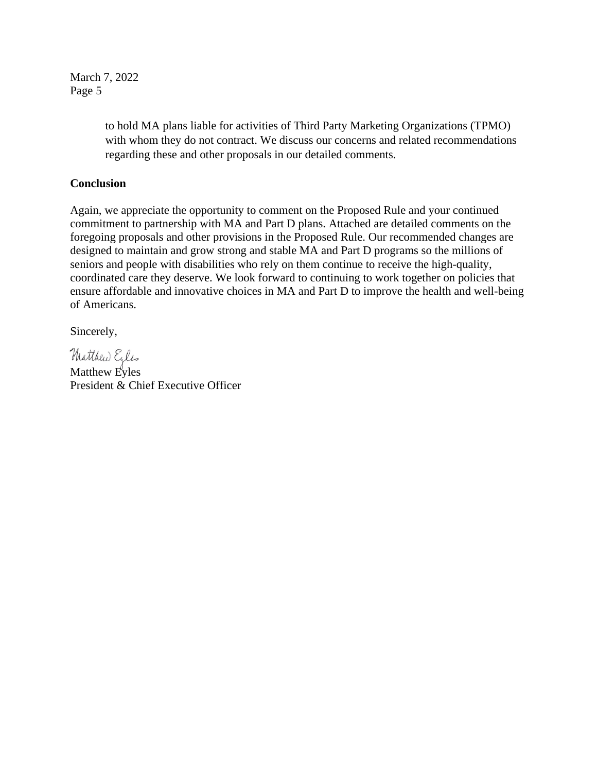> to hold MA plans liable for activities of Third Party Marketing Organizations (TPMO) with whom they do not contract. We discuss our concerns and related recommendations regarding these and other proposals in our detailed comments.

#### **Conclusion**

Again, we appreciate the opportunity to comment on the Proposed Rule and your continued commitment to partnership with MA and Part D plans. Attached are detailed comments on the foregoing proposals and other provisions in the Proposed Rule. Our recommended changes are designed to maintain and grow strong and stable MA and Part D programs so the millions of seniors and people with disabilities who rely on them continue to receive the high-quality, coordinated care they deserve. We look forward to continuing to work together on policies that ensure affordable and innovative choices in MA and Part D to improve the health and well-being of Americans.

Sincerely,

Matthew Eyles

Matthew Eyles President & Chief Executive Officer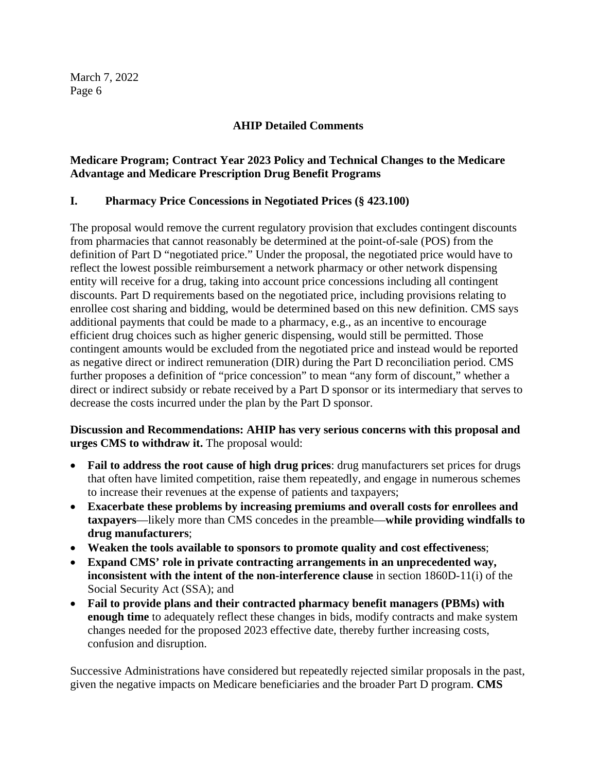## **AHIP Detailed Comments**

# **Medicare Program; Contract Year 2023 Policy and Technical Changes to the Medicare Advantage and Medicare Prescription Drug Benefit Programs**

# **I. Pharmacy Price Concessions in Negotiated Prices (§ 423.100)**

The proposal would remove the current regulatory provision that excludes contingent discounts from pharmacies that cannot reasonably be determined at the point-of-sale (POS) from the definition of Part D "negotiated price." Under the proposal, the negotiated price would have to reflect the lowest possible reimbursement a network pharmacy or other network dispensing entity will receive for a drug, taking into account price concessions including all contingent discounts. Part D requirements based on the negotiated price, including provisions relating to enrollee cost sharing and bidding, would be determined based on this new definition. CMS says additional payments that could be made to a pharmacy, e.g., as an incentive to encourage efficient drug choices such as higher generic dispensing, would still be permitted. Those contingent amounts would be excluded from the negotiated price and instead would be reported as negative direct or indirect remuneration (DIR) during the Part D reconciliation period. CMS further proposes a definition of "price concession" to mean "any form of discount," whether a direct or indirect subsidy or rebate received by a Part D sponsor or its intermediary that serves to decrease the costs incurred under the plan by the Part D sponsor.

**Discussion and Recommendations: AHIP has very serious concerns with this proposal and urges CMS to withdraw it.** The proposal would:

- **Fail to address the root cause of high drug prices**: drug manufacturers set prices for drugs that often have limited competition, raise them repeatedly, and engage in numerous schemes to increase their revenues at the expense of patients and taxpayers;
- **Exacerbate these problems by increasing premiums and overall costs for enrollees and taxpayers**—likely more than CMS concedes in the preamble—**while providing windfalls to drug manufacturers**;
- **Weaken the tools available to sponsors to promote quality and cost effectiveness**;
- **Expand CMS' role in private contracting arrangements in an unprecedented way, inconsistent with the intent of the non-interference clause** in section 1860D-11(i) of the Social Security Act (SSA); and
- **Fail to provide plans and their contracted pharmacy benefit managers (PBMs) with enough time** to adequately reflect these changes in bids, modify contracts and make system changes needed for the proposed 2023 effective date, thereby further increasing costs, confusion and disruption.

Successive Administrations have considered but repeatedly rejected similar proposals in the past, given the negative impacts on Medicare beneficiaries and the broader Part D program. **CMS**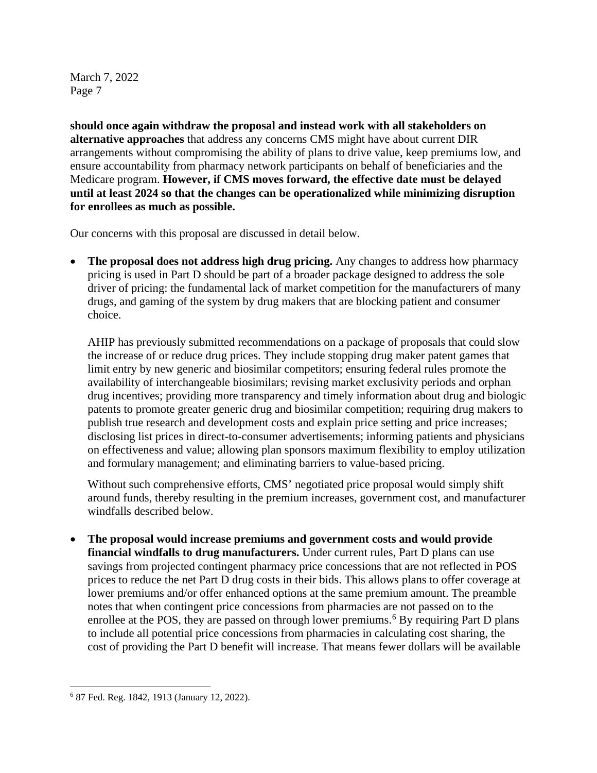**should once again withdraw the proposal and instead work with all stakeholders on alternative approaches** that address any concerns CMS might have about current DIR arrangements without compromising the ability of plans to drive value, keep premiums low, and ensure accountability from pharmacy network participants on behalf of beneficiaries and the Medicare program. **However, if CMS moves forward, the effective date must be delayed until at least 2024 so that the changes can be operationalized while minimizing disruption for enrollees as much as possible.**

Our concerns with this proposal are discussed in detail below.

• **The proposal does not address high drug pricing.** Any changes to address how pharmacy pricing is used in Part D should be part of a broader package designed to address the sole driver of pricing: the fundamental lack of market competition for the manufacturers of many drugs, and gaming of the system by drug makers that are blocking patient and consumer choice.

AHIP has previously submitted recommendations on a package of proposals that could slow the increase of or reduce drug prices. They include stopping drug maker patent games that limit entry by new generic and biosimilar competitors; ensuring federal rules promote the availability of interchangeable biosimilars; revising market exclusivity periods and orphan drug incentives; providing more transparency and timely information about drug and biologic patents to promote greater generic drug and biosimilar competition; requiring drug makers to publish true research and development costs and explain price setting and price increases; disclosing list prices in direct-to-consumer advertisements; informing patients and physicians on effectiveness and value; allowing plan sponsors maximum flexibility to employ utilization and formulary management; and eliminating barriers to value-based pricing.

Without such comprehensive efforts, CMS' negotiated price proposal would simply shift around funds, thereby resulting in the premium increases, government cost, and manufacturer windfalls described below.

• **The proposal would increase premiums and government costs and would provide financial windfalls to drug manufacturers.** Under current rules, Part D plans can use savings from projected contingent pharmacy price concessions that are not reflected in POS prices to reduce the net Part D drug costs in their bids. This allows plans to offer coverage at lower premiums and/or offer enhanced options at the same premium amount. The preamble notes that when contingent price concessions from pharmacies are not passed on to the enrollee at the POS, they are passed on through lower premiums.<sup>[6](#page-6-0)</sup> By requiring Part D plans to include all potential price concessions from pharmacies in calculating cost sharing, the cost of providing the Part D benefit will increase. That means fewer dollars will be available

<span id="page-6-0"></span><sup>6</sup> 87 Fed. Reg. 1842, 1913 (January 12, 2022).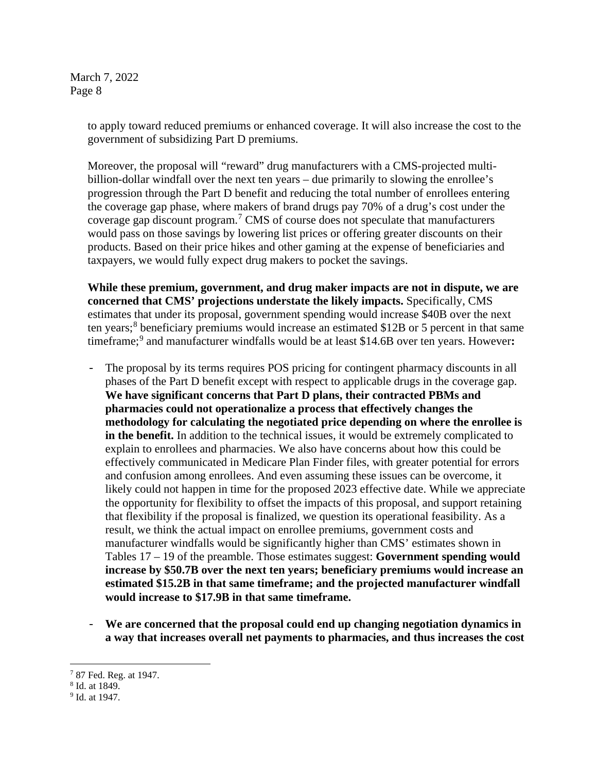> to apply toward reduced premiums or enhanced coverage. It will also increase the cost to the government of subsidizing Part D premiums.

Moreover, the proposal will "reward" drug manufacturers with a CMS-projected multibillion-dollar windfall over the next ten years – due primarily to slowing the enrollee's progression through the Part D benefit and reducing the total number of enrollees entering the coverage gap phase, where makers of brand drugs pay 70% of a drug's cost under the coverage gap discount program. [7](#page-7-0) CMS of course does not speculate that manufacturers would pass on those savings by lowering list prices or offering greater discounts on their products. Based on their price hikes and other gaming at the expense of beneficiaries and taxpayers, we would fully expect drug makers to pocket the savings.

**While these premium, government, and drug maker impacts are not in dispute, we are concerned that CMS' projections understate the likely impacts.** Specifically, CMS estimates that under its proposal, government spending would increase \$40B over the next ten years; [8](#page-7-1) beneficiary premiums would increase an estimated \$12B or 5 percent in that same timeframe; [9](#page-7-2) and manufacturer windfalls would be at least \$14.6B over ten years. However**:** 

- The proposal by its terms requires POS pricing for contingent pharmacy discounts in all phases of the Part D benefit except with respect to applicable drugs in the coverage gap. **We have significant concerns that Part D plans, their contracted PBMs and pharmacies could not operationalize a process that effectively changes the methodology for calculating the negotiated price depending on where the enrollee is in the benefit.** In addition to the technical issues, it would be extremely complicated to explain to enrollees and pharmacies. We also have concerns about how this could be effectively communicated in Medicare Plan Finder files, with greater potential for errors and confusion among enrollees. And even assuming these issues can be overcome, it likely could not happen in time for the proposed 2023 effective date. While we appreciate the opportunity for flexibility to offset the impacts of this proposal, and support retaining that flexibility if the proposal is finalized, we question its operational feasibility. As a result, we think the actual impact on enrollee premiums, government costs and manufacturer windfalls would be significantly higher than CMS' estimates shown in Tables 17 – 19 of the preamble. Those estimates suggest: **Government spending would increase by \$50.7B over the next ten years; beneficiary premiums would increase an estimated \$15.2B in that same timeframe; and the projected manufacturer windfall would increase to \$17.9B in that same timeframe.**
- **We are concerned that the proposal could end up changing negotiation dynamics in a way that increases overall net payments to pharmacies, and thus increases the cost**

<span id="page-7-0"></span><sup>7</sup> 87 Fed. Reg. at 1947.

<span id="page-7-1"></span><sup>8</sup> Id. at 1849.

<span id="page-7-2"></span><sup>9</sup> Id. at 1947.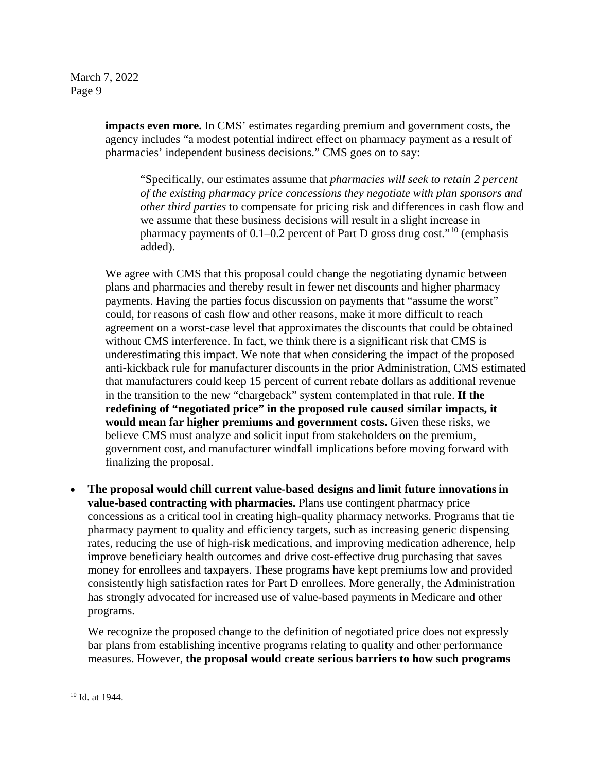> **impacts even more.** In CMS' estimates regarding premium and government costs, the agency includes "a modest potential indirect effect on pharmacy payment as a result of pharmacies' independent business decisions." CMS goes on to say:

"Specifically, our estimates assume that *pharmacies will seek to retain 2 percent of the existing pharmacy price concessions they negotiate with plan sponsors and other third parties* to compensate for pricing risk and differences in cash flow and we assume that these business decisions will result in a slight increase in pharmacy payments of 0.1–0.2 percent of Part D gross drug cost."<sup>[10](#page-8-0)</sup> (emphasis added).

We agree with CMS that this proposal could change the negotiating dynamic between plans and pharmacies and thereby result in fewer net discounts and higher pharmacy payments. Having the parties focus discussion on payments that "assume the worst" could, for reasons of cash flow and other reasons, make it more difficult to reach agreement on a worst-case level that approximates the discounts that could be obtained without CMS interference. In fact, we think there is a significant risk that CMS is underestimating this impact. We note that when considering the impact of the proposed anti-kickback rule for manufacturer discounts in the prior Administration, CMS estimated that manufacturers could keep 15 percent of current rebate dollars as additional revenue in the transition to the new "chargeback" system contemplated in that rule. **If the redefining of "negotiated price" in the proposed rule caused similar impacts, it would mean far higher premiums and government costs.** Given these risks, we believe CMS must analyze and solicit input from stakeholders on the premium, government cost, and manufacturer windfall implications before moving forward with finalizing the proposal.

• **The proposal would chill current value-based designs and limit future innovations in value-based contracting with pharmacies.** Plans use contingent pharmacy price concessions as a critical tool in creating high-quality pharmacy networks. Programs that tie pharmacy payment to quality and efficiency targets, such as increasing generic dispensing rates, reducing the use of high-risk medications, and improving medication adherence, help improve beneficiary health outcomes and drive cost-effective drug purchasing that saves money for enrollees and taxpayers. These programs have kept premiums low and provided consistently high satisfaction rates for Part D enrollees. More generally, the Administration has strongly advocated for increased use of value-based payments in Medicare and other programs.

We recognize the proposed change to the definition of negotiated price does not expressly bar plans from establishing incentive programs relating to quality and other performance measures. However, **the proposal would create serious barriers to how such programs** 

<span id="page-8-0"></span><sup>10</sup> Id. at 1944.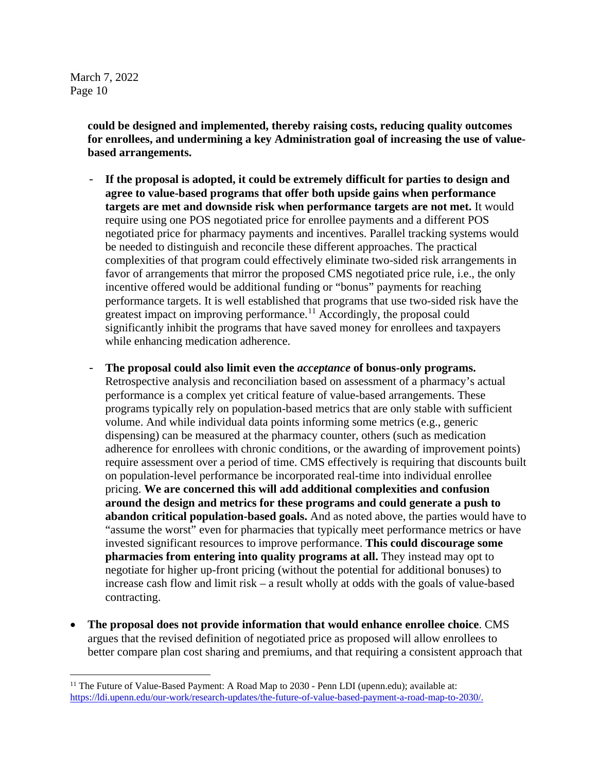> **could be designed and implemented, thereby raising costs, reducing quality outcomes for enrollees, and undermining a key Administration goal of increasing the use of valuebased arrangements.**

- **If the proposal is adopted, it could be extremely difficult for parties to design and agree to value-based programs that offer both upside gains when performance targets are met and downside risk when performance targets are not met.** It would require using one POS negotiated price for enrollee payments and a different POS negotiated price for pharmacy payments and incentives. Parallel tracking systems would be needed to distinguish and reconcile these different approaches. The practical complexities of that program could effectively eliminate two-sided risk arrangements in favor of arrangements that mirror the proposed CMS negotiated price rule, i.e., the only incentive offered would be additional funding or "bonus" payments for reaching performance targets. It is well established that programs that use two-sided risk have the greatest impact on improving performance.<sup>[11](#page-9-0)</sup> Accordingly, the proposal could significantly inhibit the programs that have saved money for enrollees and taxpayers while enhancing medication adherence.
- **The proposal could also limit even the** *acceptance* **of bonus-only programs.** Retrospective analysis and reconciliation based on assessment of a pharmacy's actual performance is a complex yet critical feature of value-based arrangements. These programs typically rely on population-based metrics that are only stable with sufficient volume. And while individual data points informing some metrics (e.g., generic dispensing) can be measured at the pharmacy counter, others (such as medication adherence for enrollees with chronic conditions, or the awarding of improvement points) require assessment over a period of time. CMS effectively is requiring that discounts built on population-level performance be incorporated real-time into individual enrollee pricing. **We are concerned this will add additional complexities and confusion around the design and metrics for these programs and could generate a push to abandon critical population-based goals.** And as noted above, the parties would have to "assume the worst" even for pharmacies that typically meet performance metrics or have invested significant resources to improve performance. **This could discourage some pharmacies from entering into quality programs at all.** They instead may opt to negotiate for higher up-front pricing (without the potential for additional bonuses) to increase cash flow and limit risk – a result wholly at odds with the goals of value-based contracting.
- **The proposal does not provide information that would enhance enrollee choice**. CMS argues that the revised definition of negotiated price as proposed will allow enrollees to better compare plan cost sharing and premiums, and that requiring a consistent approach that

<span id="page-9-0"></span><sup>&</sup>lt;sup>11</sup> The Future of Value-Based Payment: A Road Map to 2030 - Penn LDI (upenn.edu); available at: [https://ldi.upenn.edu/our-work/research-updates/the-future-of-value-based-payment-a-road-map-to-2030/.](https://ldi.upenn.edu/our-work/research-updates/the-future-of-value-based-payment-a-road-map-to-2030/)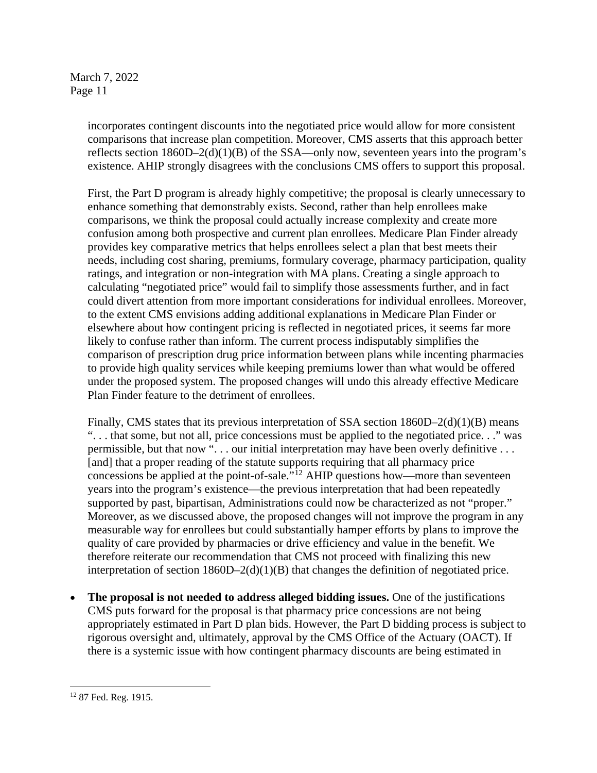incorporates contingent discounts into the negotiated price would allow for more consistent comparisons that increase plan competition. Moreover, CMS asserts that this approach better reflects section  $1860D-2(d)(1)(B)$  of the SSA—only now, seventeen years into the program's existence. AHIP strongly disagrees with the conclusions CMS offers to support this proposal.

First, the Part D program is already highly competitive; the proposal is clearly unnecessary to enhance something that demonstrably exists. Second, rather than help enrollees make comparisons, we think the proposal could actually increase complexity and create more confusion among both prospective and current plan enrollees. Medicare Plan Finder already provides key comparative metrics that helps enrollees select a plan that best meets their needs, including cost sharing, premiums, formulary coverage, pharmacy participation, quality ratings, and integration or non-integration with MA plans. Creating a single approach to calculating "negotiated price" would fail to simplify those assessments further, and in fact could divert attention from more important considerations for individual enrollees. Moreover, to the extent CMS envisions adding additional explanations in Medicare Plan Finder or elsewhere about how contingent pricing is reflected in negotiated prices, it seems far more likely to confuse rather than inform. The current process indisputably simplifies the comparison of prescription drug price information between plans while incenting pharmacies to provide high quality services while keeping premiums lower than what would be offered under the proposed system. The proposed changes will undo this already effective Medicare Plan Finder feature to the detriment of enrollees.

Finally, CMS states that its previous interpretation of SSA section  $1860D-2(d)(1)(B)$  means ". . . that some, but not all, price concessions must be applied to the negotiated price. . ." was permissible, but that now ". . . our initial interpretation may have been overly definitive . . . [and] that a proper reading of the statute supports requiring that all pharmacy price concessions be applied at the point-of-sale. $\overline{N}$ <sup>[12](#page-10-0)</sup> AHIP questions how—more than seventeen years into the program's existence—the previous interpretation that had been repeatedly supported by past, bipartisan, Administrations could now be characterized as not "proper." Moreover, as we discussed above, the proposed changes will not improve the program in any measurable way for enrollees but could substantially hamper efforts by plans to improve the quality of care provided by pharmacies or drive efficiency and value in the benefit. We therefore reiterate our recommendation that CMS not proceed with finalizing this new interpretation of section  $1860D-2(d)(1)(B)$  that changes the definition of negotiated price.

• **The proposal is not needed to address alleged bidding issues.** One of the justifications CMS puts forward for the proposal is that pharmacy price concessions are not being appropriately estimated in Part D plan bids. However, the Part D bidding process is subject to rigorous oversight and, ultimately, approval by the CMS Office of the Actuary (OACT). If there is a systemic issue with how contingent pharmacy discounts are being estimated in

<span id="page-10-0"></span><sup>12</sup> 87 Fed. Reg. 1915.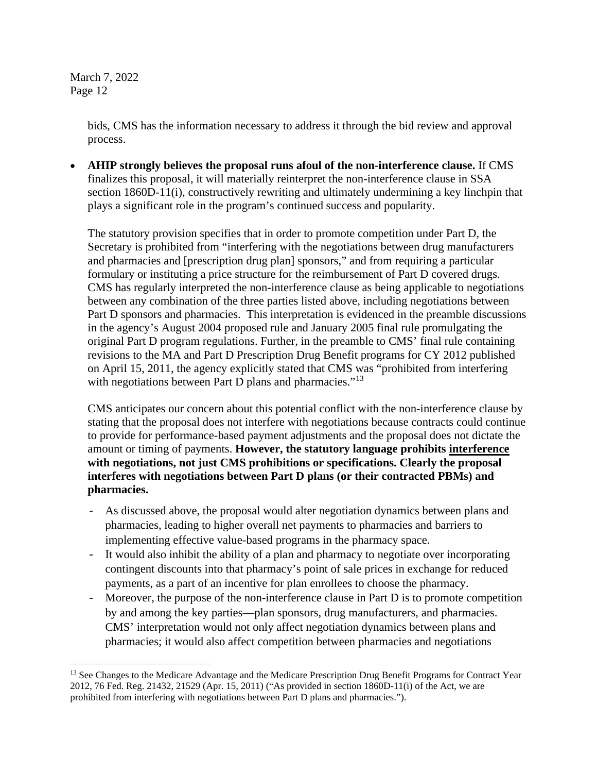> bids, CMS has the information necessary to address it through the bid review and approval process.

• **AHIP strongly believes the proposal runs afoul of the non-interference clause.** If CMS finalizes this proposal, it will materially reinterpret the non-interference clause in SSA section 1860D-11(i), constructively rewriting and ultimately undermining a key linchpin that plays a significant role in the program's continued success and popularity.

The statutory provision specifies that in order to promote competition under Part D, the Secretary is prohibited from "interfering with the negotiations between drug manufacturers and pharmacies and [prescription drug plan] sponsors," and from requiring a particular formulary or instituting a price structure for the reimbursement of Part D covered drugs. CMS has regularly interpreted the non-interference clause as being applicable to negotiations between any combination of the three parties listed above, including negotiations between Part D sponsors and pharmacies. This interpretation is evidenced in the preamble discussions in the agency's August 2004 proposed rule and January 2005 final rule promulgating the original Part D program regulations. Further, in the preamble to CMS' final rule containing revisions to the MA and Part D Prescription Drug Benefit programs for CY 2012 published on April 15, 2011, the agency explicitly stated that CMS was "prohibited from interfering with negotiations between Part D plans and pharmacies."<sup>[13](#page-11-0)</sup>

CMS anticipates our concern about this potential conflict with the non-interference clause by stating that the proposal does not interfere with negotiations because contracts could continue to provide for performance-based payment adjustments and the proposal does not dictate the amount or timing of payments. **However, the statutory language prohibits interference with negotiations, not just CMS prohibitions or specifications. Clearly the proposal interferes with negotiations between Part D plans (or their contracted PBMs) and pharmacies.**

- As discussed above, the proposal would alter negotiation dynamics between plans and pharmacies, leading to higher overall net payments to pharmacies and barriers to implementing effective value-based programs in the pharmacy space.
- It would also inhibit the ability of a plan and pharmacy to negotiate over incorporating contingent discounts into that pharmacy's point of sale prices in exchange for reduced payments, as a part of an incentive for plan enrollees to choose the pharmacy.
- Moreover, the purpose of the non-interference clause in Part D is to promote competition by and among the key parties—plan sponsors, drug manufacturers, and pharmacies. CMS' interpretation would not only affect negotiation dynamics between plans and pharmacies; it would also affect competition between pharmacies and negotiations

<span id="page-11-0"></span><sup>&</sup>lt;sup>13</sup> See Changes to the Medicare Advantage and the Medicare Prescription Drug Benefit Programs for Contract Year 2012, 76 Fed. Reg. 21432, 21529 (Apr. 15, 2011) ("As provided in section 1860D-11(i) of the Act, we are prohibited from interfering with negotiations between Part D plans and pharmacies.").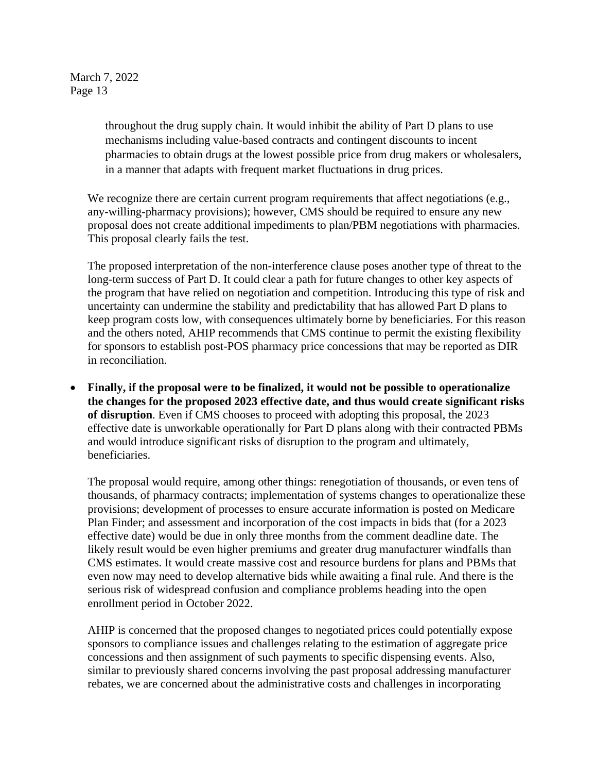> throughout the drug supply chain. It would inhibit the ability of Part D plans to use mechanisms including value-based contracts and contingent discounts to incent pharmacies to obtain drugs at the lowest possible price from drug makers or wholesalers, in a manner that adapts with frequent market fluctuations in drug prices.

We recognize there are certain current program requirements that affect negotiations (e.g., any-willing-pharmacy provisions); however, CMS should be required to ensure any new proposal does not create additional impediments to plan/PBM negotiations with pharmacies. This proposal clearly fails the test.

The proposed interpretation of the non-interference clause poses another type of threat to the long-term success of Part D. It could clear a path for future changes to other key aspects of the program that have relied on negotiation and competition. Introducing this type of risk and uncertainty can undermine the stability and predictability that has allowed Part D plans to keep program costs low, with consequences ultimately borne by beneficiaries. For this reason and the others noted, AHIP recommends that CMS continue to permit the existing flexibility for sponsors to establish post-POS pharmacy price concessions that may be reported as DIR in reconciliation.

• **Finally, if the proposal were to be finalized, it would not be possible to operationalize the changes for the proposed 2023 effective date, and thus would create significant risks of disruption**. Even if CMS chooses to proceed with adopting this proposal, the 2023 effective date is unworkable operationally for Part D plans along with their contracted PBMs and would introduce significant risks of disruption to the program and ultimately, beneficiaries.

The proposal would require, among other things: renegotiation of thousands, or even tens of thousands, of pharmacy contracts; implementation of systems changes to operationalize these provisions; development of processes to ensure accurate information is posted on Medicare Plan Finder; and assessment and incorporation of the cost impacts in bids that (for a 2023 effective date) would be due in only three months from the comment deadline date. The likely result would be even higher premiums and greater drug manufacturer windfalls than CMS estimates. It would create massive cost and resource burdens for plans and PBMs that even now may need to develop alternative bids while awaiting a final rule. And there is the serious risk of widespread confusion and compliance problems heading into the open enrollment period in October 2022.

AHIP is concerned that the proposed changes to negotiated prices could potentially expose sponsors to compliance issues and challenges relating to the estimation of aggregate price concessions and then assignment of such payments to specific dispensing events. Also, similar to previously shared concerns involving the past proposal addressing manufacturer rebates, we are concerned about the administrative costs and challenges in incorporating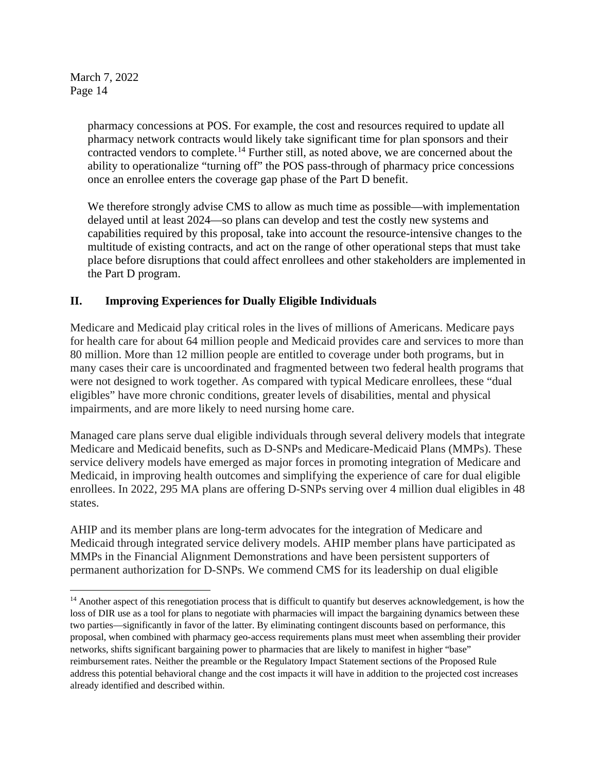> pharmacy concessions at POS. For example, the cost and resources required to update all pharmacy network contracts would likely take significant time for plan sponsors and their contracted vendors to complete.<sup>[14](#page-13-0)</sup> Further still, as noted above, we are concerned about the ability to operationalize "turning off" the POS pass-through of pharmacy price concessions once an enrollee enters the coverage gap phase of the Part D benefit.

We therefore strongly advise CMS to allow as much time as possible—with implementation delayed until at least 2024—so plans can develop and test the costly new systems and capabilities required by this proposal, take into account the resource-intensive changes to the multitude of existing contracts, and act on the range of other operational steps that must take place before disruptions that could affect enrollees and other stakeholders are implemented in the Part D program.

# **II. Improving Experiences for Dually Eligible Individuals**

Medicare and Medicaid play critical roles in the lives of millions of Americans. Medicare pays for health care for about 64 million people and Medicaid provides care and services to more than 80 million. More than 12 million people are entitled to coverage under both programs, but in many cases their care is uncoordinated and fragmented between two federal health programs that were not designed to work together. As compared with typical Medicare enrollees, these "dual eligibles" have more chronic conditions, greater levels of disabilities, mental and physical impairments, and are more likely to need nursing home care.

Managed care plans serve dual eligible individuals through several delivery models that integrate Medicare and Medicaid benefits, such as D-SNPs and Medicare-Medicaid Plans (MMPs). These service delivery models have emerged as major forces in promoting integration of Medicare and Medicaid, in improving health outcomes and simplifying the experience of care for dual eligible enrollees. In 2022, 295 MA plans are offering D-SNPs serving over 4 million dual eligibles in 48 states.

AHIP and its member plans are long-term advocates for the integration of Medicare and Medicaid through integrated service delivery models. AHIP member plans have participated as MMPs in the Financial Alignment Demonstrations and have been persistent supporters of permanent authorization for D-SNPs. We commend CMS for its leadership on dual eligible

<span id="page-13-0"></span><sup>&</sup>lt;sup>14</sup> Another aspect of this renegotiation process that is difficult to quantify but deserves acknowledgement, is how the loss of DIR use as a tool for plans to negotiate with pharmacies will impact the bargaining dynamics between these two parties—significantly in favor of the latter. By eliminating contingent discounts based on performance, this proposal, when combined with pharmacy geo-access requirements plans must meet when assembling their provider networks, shifts significant bargaining power to pharmacies that are likely to manifest in higher "base" reimbursement rates. Neither the preamble or the Regulatory Impact Statement sections of the Proposed Rule address this potential behavioral change and the cost impacts it will have in addition to the projected cost increases already identified and described within.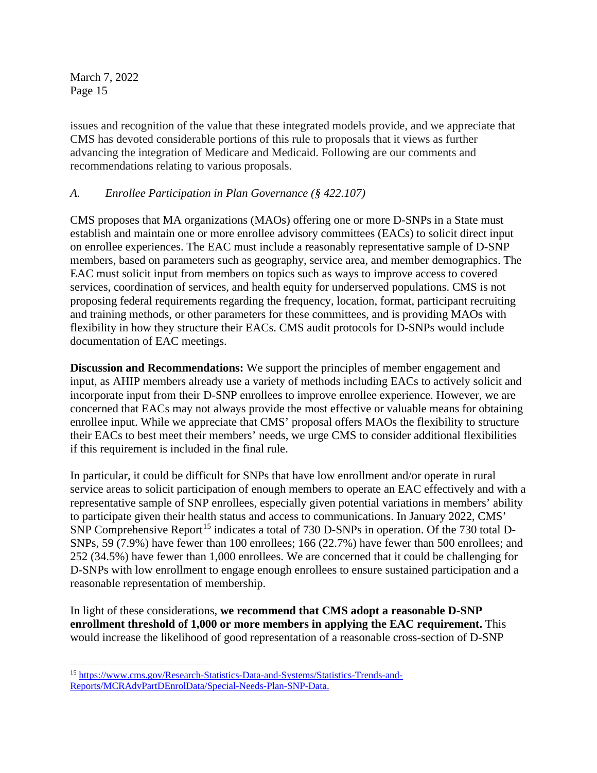issues and recognition of the value that these integrated models provide, and we appreciate that CMS has devoted considerable portions of this rule to proposals that it views as further advancing the integration of Medicare and Medicaid. Following are our comments and recommendations relating to various proposals.

## *A. Enrollee Participation in Plan Governance (§ 422.107)*

CMS proposes that MA organizations (MAOs) offering one or more D-SNPs in a State must establish and maintain one or more enrollee advisory committees (EACs) to solicit direct input on enrollee experiences. The EAC must include a reasonably representative sample of D-SNP members, based on parameters such as geography, service area, and member demographics. The EAC must solicit input from members on topics such as ways to improve access to covered services, coordination of services, and health equity for underserved populations. CMS is not proposing federal requirements regarding the frequency, location, format, participant recruiting and training methods, or other parameters for these committees, and is providing MAOs with flexibility in how they structure their EACs. CMS audit protocols for D-SNPs would include documentation of EAC meetings.

**Discussion and Recommendations:** We support the principles of member engagement and input, as AHIP members already use a variety of methods including EACs to actively solicit and incorporate input from their D-SNP enrollees to improve enrollee experience. However, we are concerned that EACs may not always provide the most effective or valuable means for obtaining enrollee input. While we appreciate that CMS' proposal offers MAOs the flexibility to structure their EACs to best meet their members' needs, we urge CMS to consider additional flexibilities if this requirement is included in the final rule.

In particular, it could be difficult for SNPs that have low enrollment and/or operate in rural service areas to solicit participation of enough members to operate an EAC effectively and with a representative sample of SNP enrollees, especially given potential variations in members' ability to participate given their health status and access to communications. In January 2022, CMS' SNP Comprehensive Report<sup>[15](#page-14-0)</sup> indicates a total of 730 D-SNPs in operation. Of the 730 total D-SNPs, 59 (7.9%) have fewer than 100 enrollees; 166 (22.7%) have fewer than 500 enrollees; and 252 (34.5%) have fewer than 1,000 enrollees. We are concerned that it could be challenging for D-SNPs with low enrollment to engage enough enrollees to ensure sustained participation and a reasonable representation of membership.

In light of these considerations, **we recommend that CMS adopt a reasonable D-SNP enrollment threshold of 1,000 or more members in applying the EAC requirement.** This would increase the likelihood of good representation of a reasonable cross-section of D-SNP

<span id="page-14-0"></span><sup>15</sup> [https://www.cms.gov/Research-Statistics-Data-and-Systems/Statistics-Trends-and-](https://www.cms.gov/Research-Statistics-Data-and-Systems/Statistics-Trends-and-Reports/MCRAdvPartDEnrolData/Special-Needs-Plan-SNP-Data)[Reports/MCRAdvPartDEnrolData/Special-Needs-Plan-SNP-Data.](https://www.cms.gov/Research-Statistics-Data-and-Systems/Statistics-Trends-and-Reports/MCRAdvPartDEnrolData/Special-Needs-Plan-SNP-Data)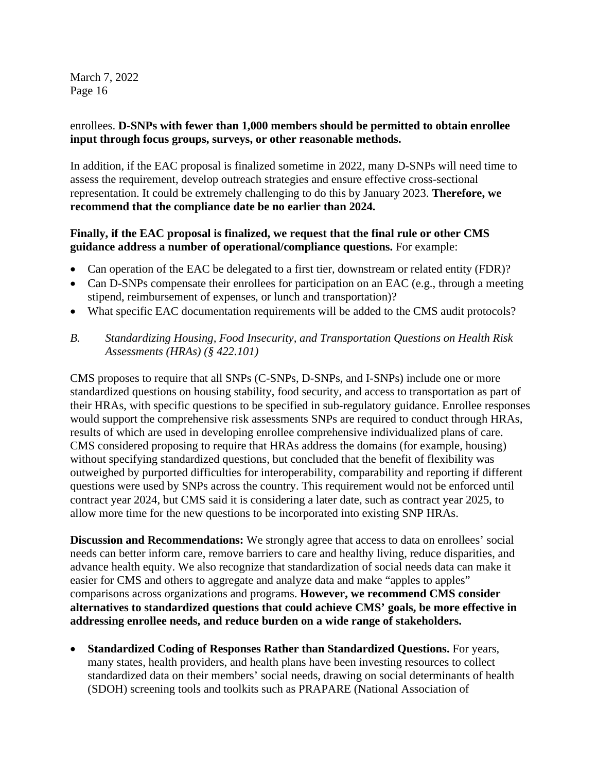#### enrollees. **D-SNPs with fewer than 1,000 members should be permitted to obtain enrollee input through focus groups, surveys, or other reasonable methods.**

In addition, if the EAC proposal is finalized sometime in 2022, many D-SNPs will need time to assess the requirement, develop outreach strategies and ensure effective cross-sectional representation. It could be extremely challenging to do this by January 2023. **Therefore, we recommend that the compliance date be no earlier than 2024.**

# **Finally, if the EAC proposal is finalized, we request that the final rule or other CMS guidance address a number of operational/compliance questions.** For example:

- Can operation of the EAC be delegated to a first tier, downstream or related entity (FDR)?
- Can D-SNPs compensate their enrollees for participation on an EAC (e.g., through a meeting stipend, reimbursement of expenses, or lunch and transportation)?
- What specific EAC documentation requirements will be added to the CMS audit protocols?
- *B. Standardizing Housing, Food Insecurity, and Transportation Questions on Health Risk Assessments (HRAs) (§ 422.101)*

CMS proposes to require that all SNPs (C-SNPs, D-SNPs, and I-SNPs) include one or more standardized questions on housing stability, food security, and access to transportation as part of their HRAs, with specific questions to be specified in sub-regulatory guidance. Enrollee responses would support the comprehensive risk assessments SNPs are required to conduct through HRAs, results of which are used in developing enrollee comprehensive individualized plans of care. CMS considered proposing to require that HRAs address the domains (for example, housing) without specifying standardized questions, but concluded that the benefit of flexibility was outweighed by purported difficulties for interoperability, comparability and reporting if different questions were used by SNPs across the country. This requirement would not be enforced until contract year 2024, but CMS said it is considering a later date, such as contract year 2025, to allow more time for the new questions to be incorporated into existing SNP HRAs.

**Discussion and Recommendations:** We strongly agree that access to data on enrollees' social needs can better inform care, remove barriers to care and healthy living, reduce disparities, and advance health equity. We also recognize that standardization of social needs data can make it easier for CMS and others to aggregate and analyze data and make "apples to apples" comparisons across organizations and programs. **However, we recommend CMS consider alternatives to standardized questions that could achieve CMS' goals, be more effective in addressing enrollee needs, and reduce burden on a wide range of stakeholders.**

• **Standardized Coding of Responses Rather than Standardized Questions.** For years, many states, health providers, and health plans have been investing resources to collect standardized data on their members' social needs, drawing on social determinants of health (SDOH) screening tools and toolkits such as PRAPARE (National Association of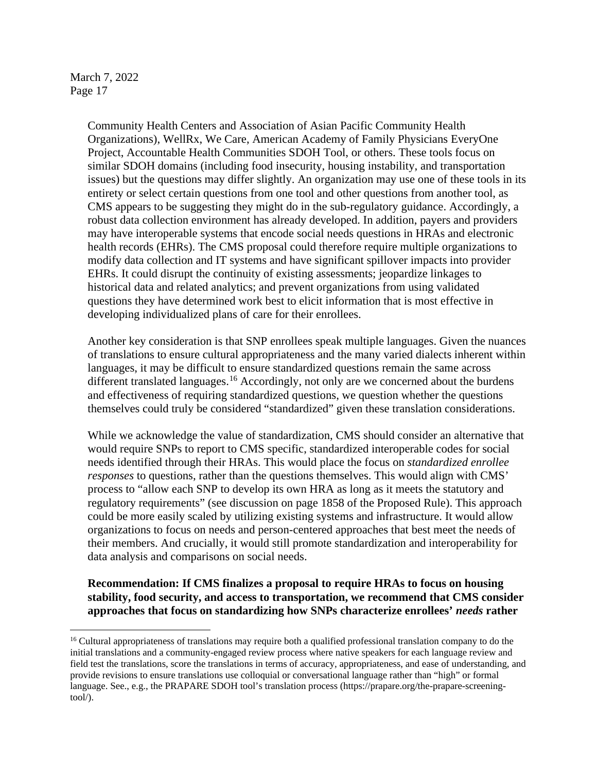> Community Health Centers and Association of Asian Pacific Community Health Organizations), WellRx, We Care, American Academy of Family Physicians EveryOne Project, Accountable Health Communities SDOH Tool, or others. These tools focus on similar SDOH domains (including food insecurity, housing instability, and transportation issues) but the questions may differ slightly. An organization may use one of these tools in its entirety or select certain questions from one tool and other questions from another tool, as CMS appears to be suggesting they might do in the sub-regulatory guidance. Accordingly, a robust data collection environment has already developed. In addition, payers and providers may have interoperable systems that encode social needs questions in HRAs and electronic health records (EHRs). The CMS proposal could therefore require multiple organizations to modify data collection and IT systems and have significant spillover impacts into provider EHRs. It could disrupt the continuity of existing assessments; jeopardize linkages to historical data and related analytics; and prevent organizations from using validated questions they have determined work best to elicit information that is most effective in developing individualized plans of care for their enrollees.

> Another key consideration is that SNP enrollees speak multiple languages. Given the nuances of translations to ensure cultural appropriateness and the many varied dialects inherent within languages, it may be difficult to ensure standardized questions remain the same across different translated languages.<sup>[16](#page-16-0)</sup> Accordingly, not only are we concerned about the burdens and effectiveness of requiring standardized questions, we question whether the questions themselves could truly be considered "standardized" given these translation considerations.

> While we acknowledge the value of standardization, CMS should consider an alternative that would require SNPs to report to CMS specific, standardized interoperable codes for social needs identified through their HRAs. This would place the focus on *standardized enrollee responses* to questions, rather than the questions themselves. This would align with CMS' process to "allow each SNP to develop its own HRA as long as it meets the statutory and regulatory requirements" (see discussion on page 1858 of the Proposed Rule). This approach could be more easily scaled by utilizing existing systems and infrastructure. It would allow organizations to focus on needs and person-centered approaches that best meet the needs of their members. And crucially, it would still promote standardization and interoperability for data analysis and comparisons on social needs.

> **Recommendation: If CMS finalizes a proposal to require HRAs to focus on housing stability, food security, and access to transportation, we recommend that CMS consider approaches that focus on standardizing how SNPs characterize enrollees'** *needs* **rather**

<span id="page-16-0"></span><sup>&</sup>lt;sup>16</sup> Cultural appropriateness of translations may require both a qualified professional translation company to do the initial translations and a community-engaged review process where native speakers for each language review and field test the translations, score the translations in terms of accuracy, appropriateness, and ease of understanding, and provide revisions to ensure translations use colloquial or conversational language rather than "high" or formal language. See., e.g., the PRAPARE SDOH tool's translation process [\(https://prapare.org/the-prapare-screening](https://prapare.org/the-prapare-screening-tool/)[tool/\)](https://prapare.org/the-prapare-screening-tool/).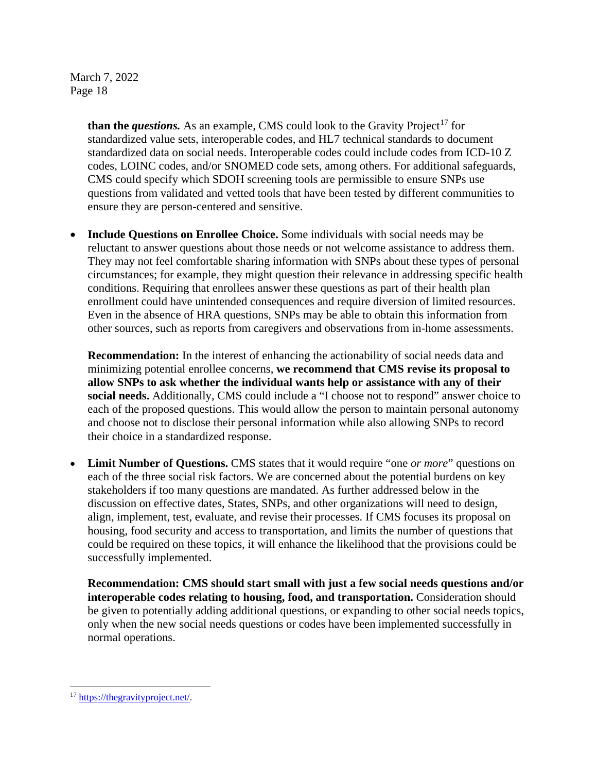> **than the** *questions*. As an example, CMS could look to the Gravity Project<sup>[17](#page-17-0)</sup> for standardized value sets, interoperable codes, and HL7 technical standards to document standardized data on social needs. Interoperable codes could include codes from ICD-10 Z codes, LOINC codes, and/or SNOMED code sets, among others. For additional safeguards, CMS could specify which SDOH screening tools are permissible to ensure SNPs use questions from validated and vetted tools that have been tested by different communities to ensure they are person-centered and sensitive.

• **Include Questions on Enrollee Choice.** Some individuals with social needs may be reluctant to answer questions about those needs or not welcome assistance to address them. They may not feel comfortable sharing information with SNPs about these types of personal circumstances; for example, they might question their relevance in addressing specific health conditions. Requiring that enrollees answer these questions as part of their health plan enrollment could have unintended consequences and require diversion of limited resources. Even in the absence of HRA questions, SNPs may be able to obtain this information from other sources, such as reports from caregivers and observations from in-home assessments.

**Recommendation:** In the interest of enhancing the actionability of social needs data and minimizing potential enrollee concerns, **we recommend that CMS revise its proposal to allow SNPs to ask whether the individual wants help or assistance with any of their social needs.** Additionally, CMS could include a "I choose not to respond" answer choice to each of the proposed questions. This would allow the person to maintain personal autonomy and choose not to disclose their personal information while also allowing SNPs to record their choice in a standardized response.

**Limit Number of Questions.** CMS states that it would require "one *or more*" questions on each of the three social risk factors. We are concerned about the potential burdens on key stakeholders if too many questions are mandated. As further addressed below in the discussion on effective dates, States, SNPs, and other organizations will need to design, align, implement, test, evaluate, and revise their processes. If CMS focuses its proposal on housing, food security and access to transportation, and limits the number of questions that could be required on these topics, it will enhance the likelihood that the provisions could be successfully implemented.

**Recommendation: CMS should start small with just a few social needs questions and/or interoperable codes relating to housing, food, and transportation.** Consideration should be given to potentially adding additional questions, or expanding to other social needs topics, only when the new social needs questions or codes have been implemented successfully in normal operations.

<span id="page-17-0"></span><sup>17</sup> [https://thegravityproject.net/.](https://thegravityproject.net/)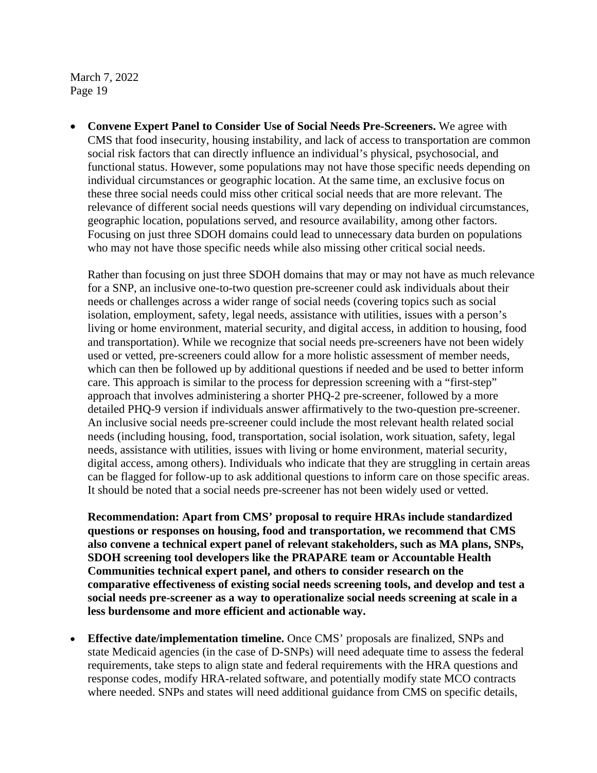• **Convene Expert Panel to Consider Use of Social Needs Pre-Screeners.** We agree with CMS that food insecurity, housing instability, and lack of access to transportation are common social risk factors that can directly influence an individual's physical, psychosocial, and functional status. However, some populations may not have those specific needs depending on individual circumstances or geographic location. At the same time, an exclusive focus on these three social needs could miss other critical social needs that are more relevant. The relevance of different social needs questions will vary depending on individual circumstances, geographic location, populations served, and resource availability, among other factors. Focusing on just three SDOH domains could lead to unnecessary data burden on populations who may not have those specific needs while also missing other critical social needs.

Rather than focusing on just three SDOH domains that may or may not have as much relevance for a SNP, an inclusive one-to-two question pre-screener could ask individuals about their needs or challenges across a wider range of social needs (covering topics such as social isolation, employment, safety, legal needs, assistance with utilities, issues with a person's living or home environment, material security, and digital access, in addition to housing, food and transportation). While we recognize that social needs pre-screeners have not been widely used or vetted, pre-screeners could allow for a more holistic assessment of member needs, which can then be followed up by additional questions if needed and be used to better inform care. This approach is similar to the process for depression screening with a "first-step" approach that involves administering a shorter PHQ-2 pre-screener, followed by a more detailed PHQ-9 version if individuals answer affirmatively to the two-question pre-screener. An inclusive social needs pre-screener could include the most relevant health related social needs (including housing, food, transportation, social isolation, work situation, safety, legal needs, assistance with utilities, issues with living or home environment, material security, digital access, among others). Individuals who indicate that they are struggling in certain areas can be flagged for follow-up to ask additional questions to inform care on those specific areas. It should be noted that a social needs pre-screener has not been widely used or vetted.

**Recommendation: Apart from CMS' proposal to require HRAs include standardized questions or responses on housing, food and transportation, we recommend that CMS also convene a technical expert panel of relevant stakeholders, such as MA plans, SNPs, SDOH screening tool developers like the PRAPARE team or Accountable Health Communities technical expert panel, and others to consider research on the comparative effectiveness of existing social needs screening tools, and develop and test a social needs pre-screener as a way to operationalize social needs screening at scale in a less burdensome and more efficient and actionable way.**

• **Effective date/implementation timeline.** Once CMS' proposals are finalized, SNPs and state Medicaid agencies (in the case of D-SNPs) will need adequate time to assess the federal requirements, take steps to align state and federal requirements with the HRA questions and response codes, modify HRA-related software, and potentially modify state MCO contracts where needed. SNPs and states will need additional guidance from CMS on specific details,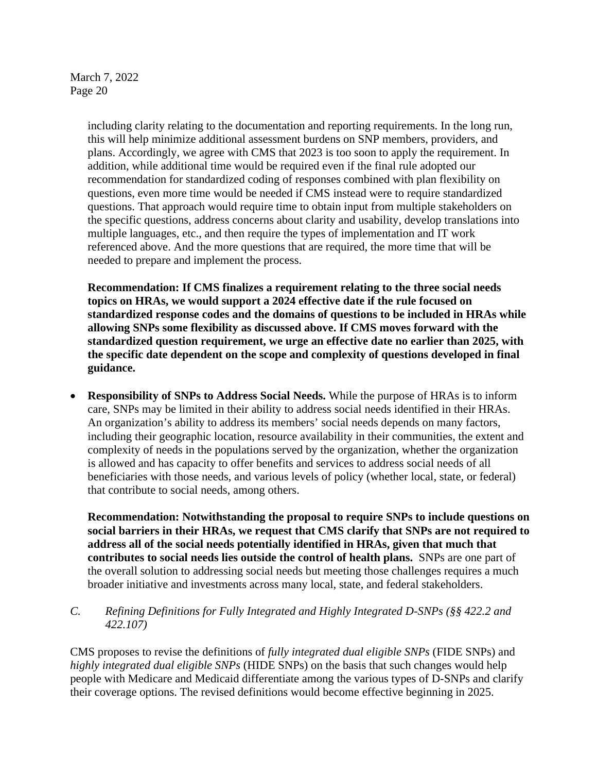> including clarity relating to the documentation and reporting requirements. In the long run, this will help minimize additional assessment burdens on SNP members, providers, and plans. Accordingly, we agree with CMS that 2023 is too soon to apply the requirement. In addition, while additional time would be required even if the final rule adopted our recommendation for standardized coding of responses combined with plan flexibility on questions, even more time would be needed if CMS instead were to require standardized questions. That approach would require time to obtain input from multiple stakeholders on the specific questions, address concerns about clarity and usability, develop translations into multiple languages, etc., and then require the types of implementation and IT work referenced above. And the more questions that are required, the more time that will be needed to prepare and implement the process.

**Recommendation: If CMS finalizes a requirement relating to the three social needs topics on HRAs, we would support a 2024 effective date if the rule focused on standardized response codes and the domains of questions to be included in HRAs while allowing SNPs some flexibility as discussed above. If CMS moves forward with the standardized question requirement, we urge an effective date no earlier than 2025, with the specific date dependent on the scope and complexity of questions developed in final guidance.** 

• **Responsibility of SNPs to Address Social Needs.** While the purpose of HRAs is to inform care, SNPs may be limited in their ability to address social needs identified in their HRAs. An organization's ability to address its members' social needs depends on many factors, including their geographic location, resource availability in their communities, the extent and complexity of needs in the populations served by the organization, whether the organization is allowed and has capacity to offer benefits and services to address social needs of all beneficiaries with those needs, and various levels of policy (whether local, state, or federal) that contribute to social needs, among others.

**Recommendation: Notwithstanding the proposal to require SNPs to include questions on social barriers in their HRAs, we request that CMS clarify that SNPs are not required to address all of the social needs potentially identified in HRAs, given that much that contributes to social needs lies outside the control of health plans.** SNPs are one part of the overall solution to addressing social needs but meeting those challenges requires a much broader initiative and investments across many local, state, and federal stakeholders.

# *C. Refining Definitions for Fully Integrated and Highly Integrated D-SNPs (§§ 422.2 and 422.107)*

CMS proposes to revise the definitions of *fully integrated dual eligible SNPs* (FIDE SNPs) and *highly integrated dual eligible SNPs* (HIDE SNPs) on the basis that such changes would help people with Medicare and Medicaid differentiate among the various types of D-SNPs and clarify their coverage options. The revised definitions would become effective beginning in 2025.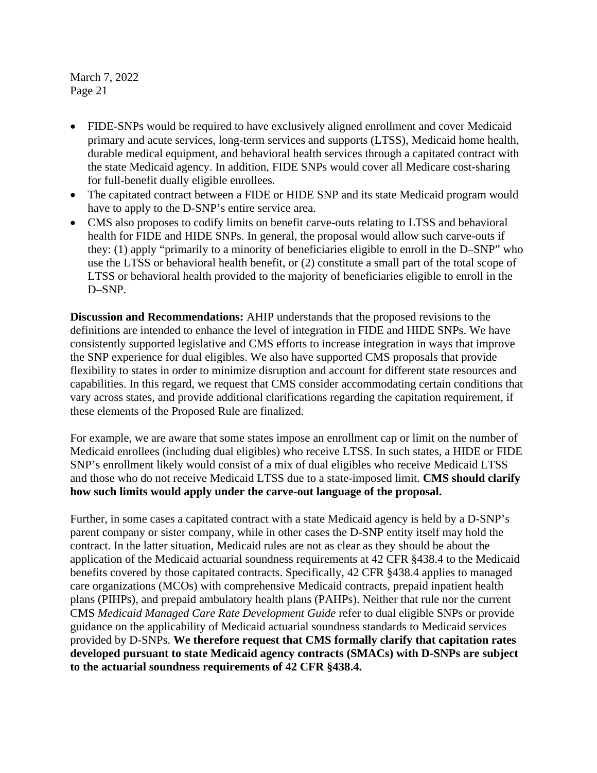- FIDE-SNPs would be required to have exclusively aligned enrollment and cover Medicaid primary and acute services, long-term services and supports (LTSS), Medicaid home health, durable medical equipment, and behavioral health services through a capitated contract with the state Medicaid agency. In addition, FIDE SNPs would cover all Medicare cost-sharing for full-benefit dually eligible enrollees.
- The capitated contract between a FIDE or HIDE SNP and its state Medicaid program would have to apply to the D-SNP's entire service area.
- CMS also proposes to codify limits on benefit carve-outs relating to LTSS and behavioral health for FIDE and HIDE SNPs. In general, the proposal would allow such carve-outs if they: (1) apply "primarily to a minority of beneficiaries eligible to enroll in the D–SNP" who use the LTSS or behavioral health benefit, or (2) constitute a small part of the total scope of LTSS or behavioral health provided to the majority of beneficiaries eligible to enroll in the D–SNP.

**Discussion and Recommendations:** AHIP understands that the proposed revisions to the definitions are intended to enhance the level of integration in FIDE and HIDE SNPs. We have consistently supported legislative and CMS efforts to increase integration in ways that improve the SNP experience for dual eligibles. We also have supported CMS proposals that provide flexibility to states in order to minimize disruption and account for different state resources and capabilities. In this regard, we request that CMS consider accommodating certain conditions that vary across states, and provide additional clarifications regarding the capitation requirement, if these elements of the Proposed Rule are finalized.

For example, we are aware that some states impose an enrollment cap or limit on the number of Medicaid enrollees (including dual eligibles) who receive LTSS. In such states, a HIDE or FIDE SNP's enrollment likely would consist of a mix of dual eligibles who receive Medicaid LTSS and those who do not receive Medicaid LTSS due to a state-imposed limit. **CMS should clarify how such limits would apply under the carve-out language of the proposal.**

Further, in some cases a capitated contract with a state Medicaid agency is held by a D-SNP's parent company or sister company, while in other cases the D-SNP entity itself may hold the contract. In the latter situation, Medicaid rules are not as clear as they should be about the application of the Medicaid actuarial soundness requirements at 42 CFR §438.4 to the Medicaid benefits covered by those capitated contracts. Specifically, 42 CFR §438.4 applies to managed care organizations (MCOs) with comprehensive Medicaid contracts, prepaid inpatient health plans (PIHPs), and prepaid ambulatory health plans (PAHPs). Neither that rule nor the current CMS *Medicaid Managed Care Rate Development Guide* refer to dual eligible SNPs or provide guidance on the applicability of Medicaid actuarial soundness standards to Medicaid services provided by D-SNPs. **We therefore request that CMS formally clarify that capitation rates developed pursuant to state Medicaid agency contracts (SMACs) with D-SNPs are subject to the actuarial soundness requirements of 42 CFR §438.4.**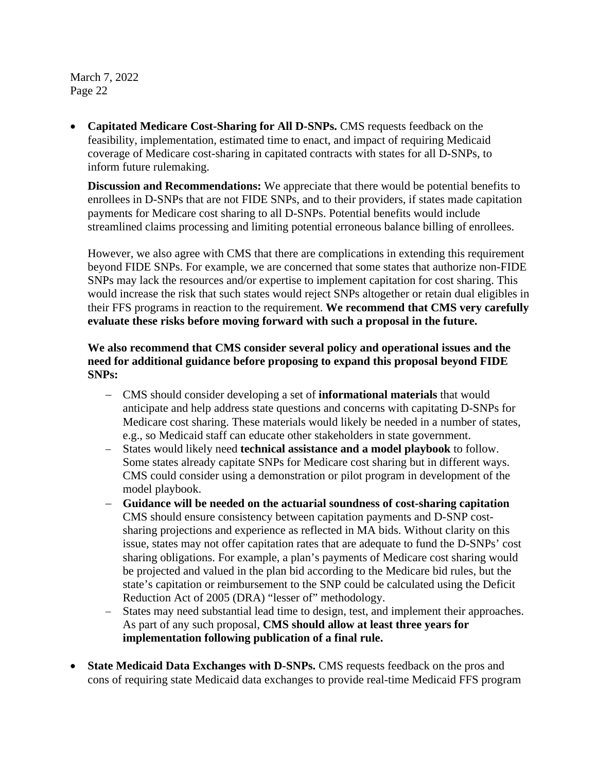• **Capitated Medicare Cost-Sharing for All D-SNPs.** CMS requests feedback on the feasibility, implementation, estimated time to enact, and impact of requiring Medicaid coverage of Medicare cost-sharing in capitated contracts with states for all D-SNPs, to inform future rulemaking.

**Discussion and Recommendations:** We appreciate that there would be potential benefits to enrollees in D-SNPs that are not FIDE SNPs, and to their providers, if states made capitation payments for Medicare cost sharing to all D-SNPs. Potential benefits would include streamlined claims processing and limiting potential erroneous balance billing of enrollees.

However, we also agree with CMS that there are complications in extending this requirement beyond FIDE SNPs. For example, we are concerned that some states that authorize non-FIDE SNPs may lack the resources and/or expertise to implement capitation for cost sharing. This would increase the risk that such states would reject SNPs altogether or retain dual eligibles in their FFS programs in reaction to the requirement. **We recommend that CMS very carefully evaluate these risks before moving forward with such a proposal in the future.** 

# **We also recommend that CMS consider several policy and operational issues and the need for additional guidance before proposing to expand this proposal beyond FIDE SNPs:**

- − CMS should consider developing a set of **informational materials** that would anticipate and help address state questions and concerns with capitating D-SNPs for Medicare cost sharing. These materials would likely be needed in a number of states, e.g., so Medicaid staff can educate other stakeholders in state government.
- − States would likely need **technical assistance and a model playbook** to follow. Some states already capitate SNPs for Medicare cost sharing but in different ways. CMS could consider using a demonstration or pilot program in development of the model playbook.
- − **Guidance will be needed on the actuarial soundness of cost-sharing capitation** CMS should ensure consistency between capitation payments and D-SNP costsharing projections and experience as reflected in MA bids. Without clarity on this issue, states may not offer capitation rates that are adequate to fund the D-SNPs' cost sharing obligations. For example, a plan's payments of Medicare cost sharing would be projected and valued in the plan bid according to the Medicare bid rules, but the state's capitation or reimbursement to the SNP could be calculated using the Deficit Reduction Act of 2005 (DRA) "lesser of" methodology.
- − States may need substantial lead time to design, test, and implement their approaches. As part of any such proposal, **CMS should allow at least three years for implementation following publication of a final rule.**
- **State Medicaid Data Exchanges with D-SNPs.** CMS requests feedback on the pros and cons of requiring state Medicaid data exchanges to provide real-time Medicaid FFS program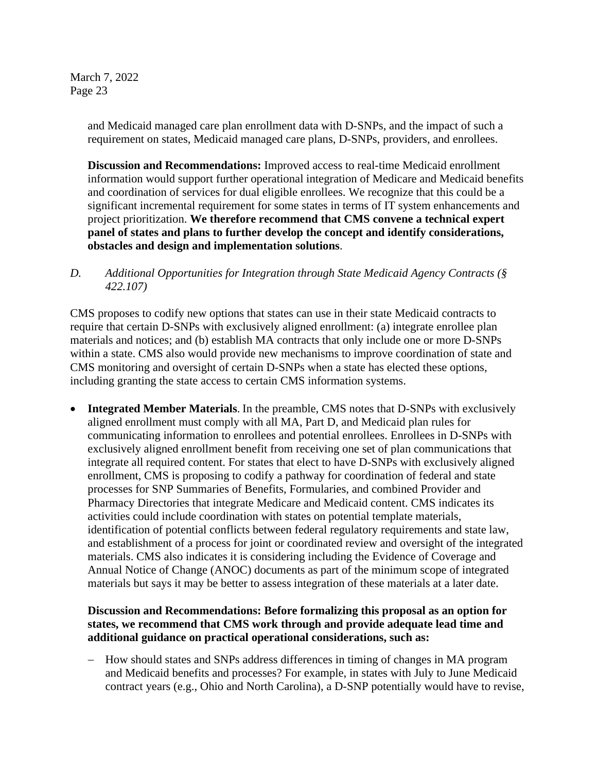> and Medicaid managed care plan enrollment data with D-SNPs, and the impact of such a requirement on states, Medicaid managed care plans, D-SNPs, providers, and enrollees.

**Discussion and Recommendations:** Improved access to real-time Medicaid enrollment information would support further operational integration of Medicare and Medicaid benefits and coordination of services for dual eligible enrollees. We recognize that this could be a significant incremental requirement for some states in terms of IT system enhancements and project prioritization. **We therefore recommend that CMS convene a technical expert panel of states and plans to further develop the concept and identify considerations, obstacles and design and implementation solutions**.

*D. Additional Opportunities for Integration through State Medicaid Agency Contracts (§ 422.107)*

CMS proposes to codify new options that states can use in their state Medicaid contracts to require that certain D-SNPs with exclusively aligned enrollment: (a) integrate enrollee plan materials and notices; and (b) establish MA contracts that only include one or more D-SNPs within a state. CMS also would provide new mechanisms to improve coordination of state and CMS monitoring and oversight of certain D-SNPs when a state has elected these options, including granting the state access to certain CMS information systems.

• **Integrated Member Materials**. In the preamble, CMS notes that D-SNPs with exclusively aligned enrollment must comply with all MA, Part D, and Medicaid plan rules for communicating information to enrollees and potential enrollees. Enrollees in D-SNPs with exclusively aligned enrollment benefit from receiving one set of plan communications that integrate all required content. For states that elect to have D-SNPs with exclusively aligned enrollment, CMS is proposing to codify a pathway for coordination of federal and state processes for SNP Summaries of Benefits, Formularies, and combined Provider and Pharmacy Directories that integrate Medicare and Medicaid content. CMS indicates its activities could include coordination with states on potential template materials, identification of potential conflicts between federal regulatory requirements and state law, and establishment of a process for joint or coordinated review and oversight of the integrated materials. CMS also indicates it is considering including the Evidence of Coverage and Annual Notice of Change (ANOC) documents as part of the minimum scope of integrated materials but says it may be better to assess integration of these materials at a later date.

# **Discussion and Recommendations: Before formalizing this proposal as an option for states, we recommend that CMS work through and provide adequate lead time and additional guidance on practical operational considerations, such as:**

− How should states and SNPs address differences in timing of changes in MA program and Medicaid benefits and processes? For example, in states with July to June Medicaid contract years (e.g., Ohio and North Carolina), a D-SNP potentially would have to revise,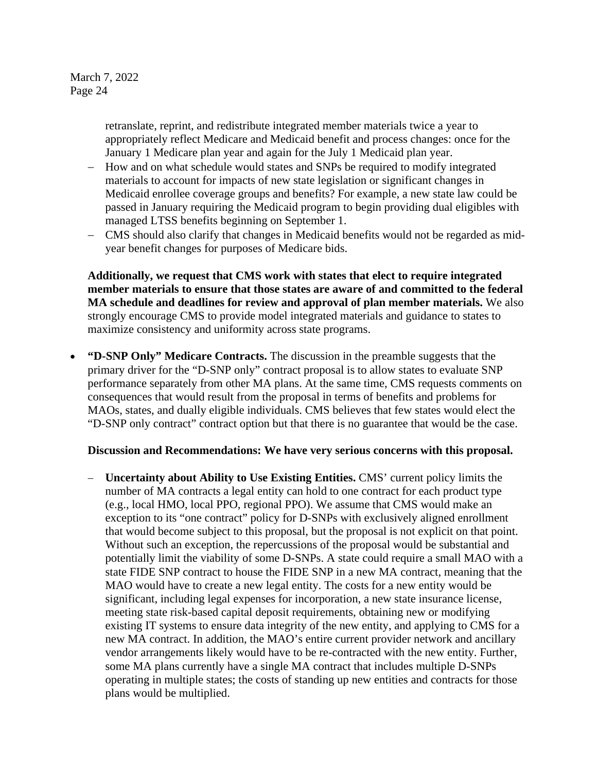> retranslate, reprint, and redistribute integrated member materials twice a year to appropriately reflect Medicare and Medicaid benefit and process changes: once for the January 1 Medicare plan year and again for the July 1 Medicaid plan year.

- − How and on what schedule would states and SNPs be required to modify integrated materials to account for impacts of new state legislation or significant changes in Medicaid enrollee coverage groups and benefits? For example, a new state law could be passed in January requiring the Medicaid program to begin providing dual eligibles with managed LTSS benefits beginning on September 1.
- − CMS should also clarify that changes in Medicaid benefits would not be regarded as midyear benefit changes for purposes of Medicare bids.

**Additionally, we request that CMS work with states that elect to require integrated member materials to ensure that those states are aware of and committed to the federal MA schedule and deadlines for review and approval of plan member materials.** We also strongly encourage CMS to provide model integrated materials and guidance to states to maximize consistency and uniformity across state programs.

• **"D-SNP Only" Medicare Contracts.** The discussion in the preamble suggests that the primary driver for the "D-SNP only" contract proposal is to allow states to evaluate SNP performance separately from other MA plans. At the same time, CMS requests comments on consequences that would result from the proposal in terms of benefits and problems for MAOs, states, and dually eligible individuals. CMS believes that few states would elect the "D-SNP only contract" contract option but that there is no guarantee that would be the case.

#### **Discussion and Recommendations: We have very serious concerns with this proposal.**

− **Uncertainty about Ability to Use Existing Entities.** CMS' current policy limits the number of MA contracts a legal entity can hold to one contract for each product type (e.g., local HMO, local PPO, regional PPO). We assume that CMS would make an exception to its "one contract" policy for D-SNPs with exclusively aligned enrollment that would become subject to this proposal, but the proposal is not explicit on that point. Without such an exception, the repercussions of the proposal would be substantial and potentially limit the viability of some D-SNPs. A state could require a small MAO with a state FIDE SNP contract to house the FIDE SNP in a new MA contract, meaning that the MAO would have to create a new legal entity. The costs for a new entity would be significant, including legal expenses for incorporation, a new state insurance license, meeting state risk-based capital deposit requirements, obtaining new or modifying existing IT systems to ensure data integrity of the new entity, and applying to CMS for a new MA contract. In addition, the MAO's entire current provider network and ancillary vendor arrangements likely would have to be re-contracted with the new entity. Further, some MA plans currently have a single MA contract that includes multiple D-SNPs operating in multiple states; the costs of standing up new entities and contracts for those plans would be multiplied.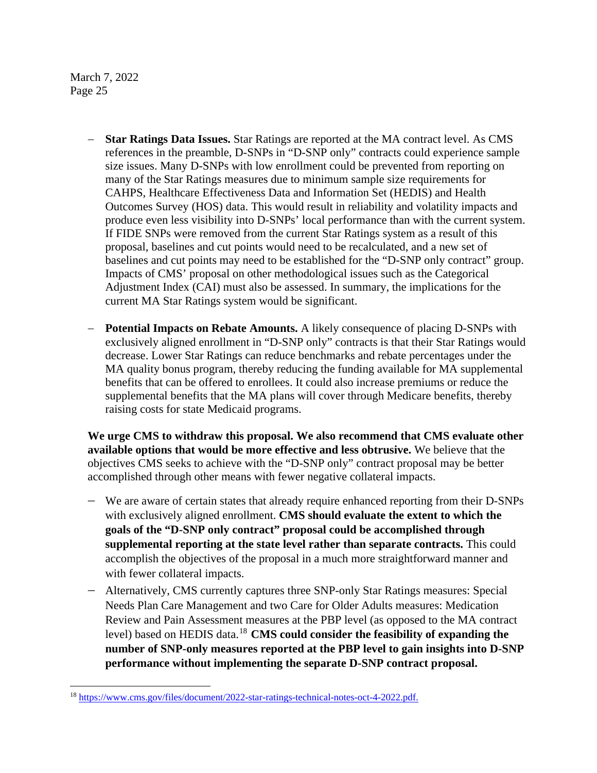- − **Star Ratings Data Issues.** Star Ratings are reported at the MA contract level. As CMS references in the preamble, D-SNPs in "D-SNP only" contracts could experience sample size issues. Many D-SNPs with low enrollment could be prevented from reporting on many of the Star Ratings measures due to minimum sample size requirements for CAHPS, Healthcare Effectiveness Data and Information Set (HEDIS) and Health Outcomes Survey (HOS) data. This would result in reliability and volatility impacts and produce even less visibility into D-SNPs' local performance than with the current system. If FIDE SNPs were removed from the current Star Ratings system as a result of this proposal, baselines and cut points would need to be recalculated, and a new set of baselines and cut points may need to be established for the "D-SNP only contract" group. Impacts of CMS' proposal on other methodological issues such as the Categorical Adjustment Index (CAI) must also be assessed. In summary, the implications for the current MA Star Ratings system would be significant.
- **Potential Impacts on Rebate Amounts.** A likely consequence of placing D-SNPs with exclusively aligned enrollment in "D-SNP only" contracts is that their Star Ratings would decrease. Lower Star Ratings can reduce benchmarks and rebate percentages under the MA quality bonus program, thereby reducing the funding available for MA supplemental benefits that can be offered to enrollees. It could also increase premiums or reduce the supplemental benefits that the MA plans will cover through Medicare benefits, thereby raising costs for state Medicaid programs.

**We urge CMS to withdraw this proposal. We also recommend that CMS evaluate other available options that would be more effective and less obtrusive.** We believe that the objectives CMS seeks to achieve with the "D-SNP only" contract proposal may be better accomplished through other means with fewer negative collateral impacts.

- − We are aware of certain states that already require enhanced reporting from their D-SNPs with exclusively aligned enrollment. **CMS should evaluate the extent to which the goals of the "D-SNP only contract" proposal could be accomplished through supplemental reporting at the state level rather than separate contracts.** This could accomplish the objectives of the proposal in a much more straightforward manner and with fewer collateral impacts.
- − Alternatively, CMS currently captures three SNP-only Star Ratings measures: Special Needs Plan Care Management and two Care for Older Adults measures: Medication Review and Pain Assessment measures at the PBP level (as opposed to the MA contract level) based on HEDIS data.<sup>18</sup> CMS could consider the feasibility of expanding the **number of SNP-only measures reported at the PBP level to gain insights into D-SNP performance without implementing the separate D-SNP contract proposal.**

<span id="page-24-0"></span><sup>18</sup> [https://www.cms.gov/files/document/2022-star-ratings-technical-notes-oct-4-2022.pdf.](https://www.cms.gov/files/document/2022-star-ratings-technical-notes-oct-4-2022.pdf)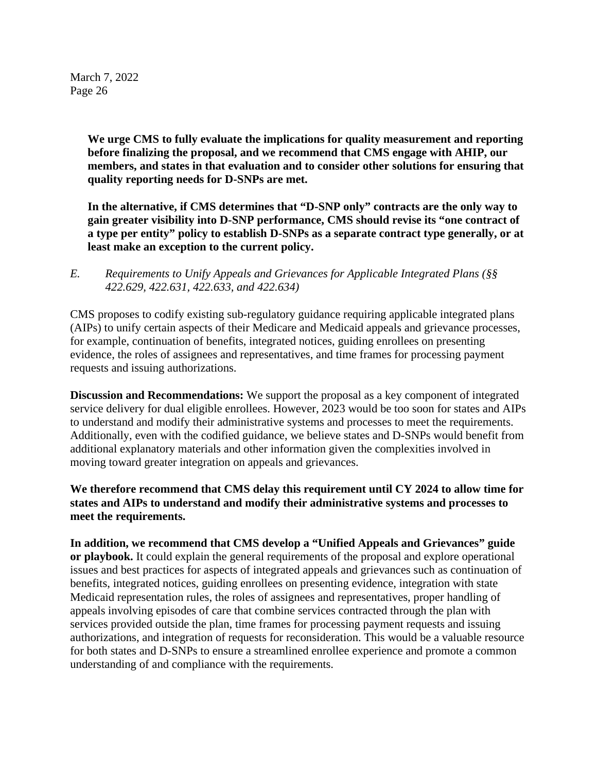> **We urge CMS to fully evaluate the implications for quality measurement and reporting before finalizing the proposal, and we recommend that CMS engage with AHIP, our members, and states in that evaluation and to consider other solutions for ensuring that quality reporting needs for D-SNPs are met.**

> **In the alternative, if CMS determines that "D-SNP only" contracts are the only way to gain greater visibility into D-SNP performance, CMS should revise its "one contract of a type per entity" policy to establish D-SNPs as a separate contract type generally, or at least make an exception to the current policy.**

*E. Requirements to Unify Appeals and Grievances for Applicable Integrated Plans (§§ 422.629, 422.631, 422.633, and 422.634)*

CMS proposes to codify existing sub-regulatory guidance requiring applicable integrated plans (AIPs) to unify certain aspects of their Medicare and Medicaid appeals and grievance processes, for example, continuation of benefits, integrated notices, guiding enrollees on presenting evidence, the roles of assignees and representatives, and time frames for processing payment requests and issuing authorizations.

**Discussion and Recommendations:** We support the proposal as a key component of integrated service delivery for dual eligible enrollees. However, 2023 would be too soon for states and AIPs to understand and modify their administrative systems and processes to meet the requirements. Additionally, even with the codified guidance, we believe states and D-SNPs would benefit from additional explanatory materials and other information given the complexities involved in moving toward greater integration on appeals and grievances.

**We therefore recommend that CMS delay this requirement until CY 2024 to allow time for states and AIPs to understand and modify their administrative systems and processes to meet the requirements.**

**In addition, we recommend that CMS develop a "Unified Appeals and Grievances" guide or playbook.** It could explain the general requirements of the proposal and explore operational issues and best practices for aspects of integrated appeals and grievances such as continuation of benefits, integrated notices, guiding enrollees on presenting evidence, integration with state Medicaid representation rules, the roles of assignees and representatives, proper handling of appeals involving episodes of care that combine services contracted through the plan with services provided outside the plan, time frames for processing payment requests and issuing authorizations, and integration of requests for reconsideration. This would be a valuable resource for both states and D-SNPs to ensure a streamlined enrollee experience and promote a common understanding of and compliance with the requirements.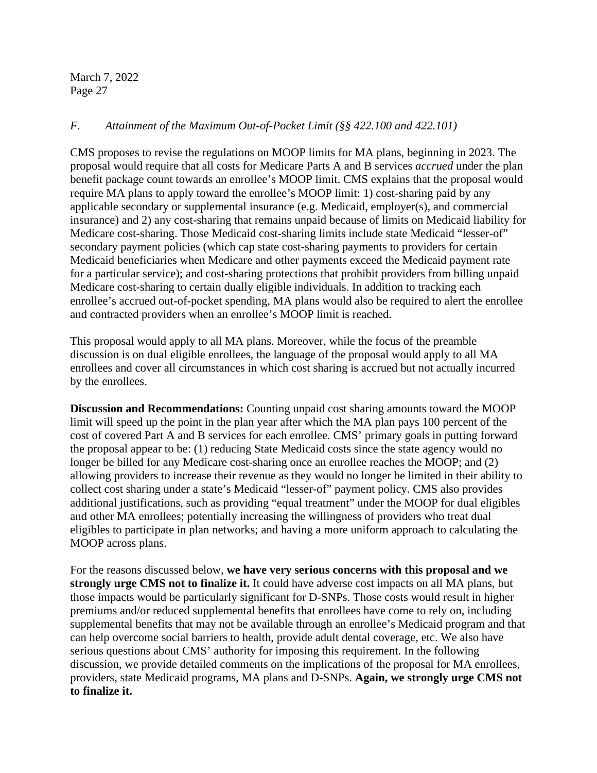## *F. Attainment of the Maximum Out-of-Pocket Limit (§§ 422.100 and 422.101)*

CMS proposes to revise the regulations on MOOP limits for MA plans, beginning in 2023. The proposal would require that all costs for Medicare Parts A and B services *accrued* under the plan benefit package count towards an enrollee's MOOP limit. CMS explains that the proposal would require MA plans to apply toward the enrollee's MOOP limit: 1) cost-sharing paid by any applicable secondary or supplemental insurance (e.g. Medicaid, employer(s), and commercial insurance) and 2) any cost-sharing that remains unpaid because of limits on Medicaid liability for Medicare cost-sharing. Those Medicaid cost-sharing limits include state Medicaid "lesser-of" secondary payment policies (which cap state cost-sharing payments to providers for certain Medicaid beneficiaries when Medicare and other payments exceed the Medicaid payment rate for a particular service); and cost-sharing protections that prohibit providers from billing unpaid Medicare cost-sharing to certain dually eligible individuals. In addition to tracking each enrollee's accrued out-of-pocket spending, MA plans would also be required to alert the enrollee and contracted providers when an enrollee's MOOP limit is reached.

This proposal would apply to all MA plans. Moreover, while the focus of the preamble discussion is on dual eligible enrollees, the language of the proposal would apply to all MA enrollees and cover all circumstances in which cost sharing is accrued but not actually incurred by the enrollees.

**Discussion and Recommendations:** Counting unpaid cost sharing amounts toward the MOOP limit will speed up the point in the plan year after which the MA plan pays 100 percent of the cost of covered Part A and B services for each enrollee. CMS' primary goals in putting forward the proposal appear to be: (1) reducing State Medicaid costs since the state agency would no longer be billed for any Medicare cost-sharing once an enrollee reaches the MOOP; and (2) allowing providers to increase their revenue as they would no longer be limited in their ability to collect cost sharing under a state's Medicaid "lesser-of" payment policy. CMS also provides additional justifications, such as providing "equal treatment" under the MOOP for dual eligibles and other MA enrollees; potentially increasing the willingness of providers who treat dual eligibles to participate in plan networks; and having a more uniform approach to calculating the MOOP across plans.

For the reasons discussed below, **we have very serious concerns with this proposal and we strongly urge CMS not to finalize it.** It could have adverse cost impacts on all MA plans, but those impacts would be particularly significant for D-SNPs. Those costs would result in higher premiums and/or reduced supplemental benefits that enrollees have come to rely on, including supplemental benefits that may not be available through an enrollee's Medicaid program and that can help overcome social barriers to health, provide adult dental coverage, etc. We also have serious questions about CMS' authority for imposing this requirement. In the following discussion, we provide detailed comments on the implications of the proposal for MA enrollees, providers, state Medicaid programs, MA plans and D-SNPs. **Again, we strongly urge CMS not to finalize it.**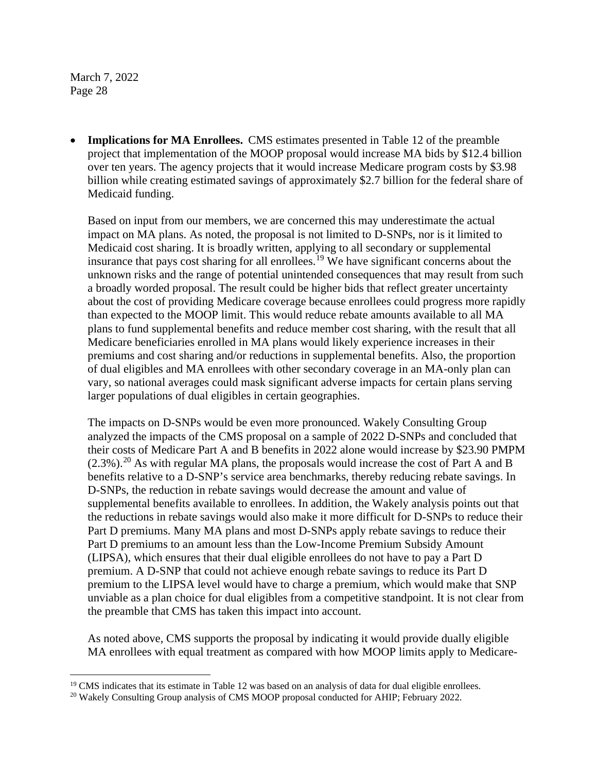• **Implications for MA Enrollees.** CMS estimates presented in Table 12 of the preamble project that implementation of the MOOP proposal would increase MA bids by \$12.4 billion over ten years. The agency projects that it would increase Medicare program costs by \$3.98 billion while creating estimated savings of approximately \$2.7 billion for the federal share of Medicaid funding.

Based on input from our members, we are concerned this may underestimate the actual impact on MA plans. As noted, the proposal is not limited to D-SNPs, nor is it limited to Medicaid cost sharing. It is broadly written, applying to all secondary or supplemental insurance that pays cost sharing for all enrollees.<sup>[19](#page-27-0)</sup> We have significant concerns about the unknown risks and the range of potential unintended consequences that may result from such a broadly worded proposal. The result could be higher bids that reflect greater uncertainty about the cost of providing Medicare coverage because enrollees could progress more rapidly than expected to the MOOP limit. This would reduce rebate amounts available to all MA plans to fund supplemental benefits and reduce member cost sharing, with the result that all Medicare beneficiaries enrolled in MA plans would likely experience increases in their premiums and cost sharing and/or reductions in supplemental benefits. Also, the proportion of dual eligibles and MA enrollees with other secondary coverage in an MA-only plan can vary, so national averages could mask significant adverse impacts for certain plans serving larger populations of dual eligibles in certain geographies.

The impacts on D-SNPs would be even more pronounced. Wakely Consulting Group analyzed the impacts of the CMS proposal on a sample of 2022 D-SNPs and concluded that their costs of Medicare Part A and B benefits in 2022 alone would increase by \$23.90 PMPM  $(2.3\%)$ .<sup>[20](#page-27-1)</sup> As with regular MA plans, the proposals would increase the cost of Part A and B benefits relative to a D-SNP's service area benchmarks, thereby reducing rebate savings. In D-SNPs, the reduction in rebate savings would decrease the amount and value of supplemental benefits available to enrollees. In addition, the Wakely analysis points out that the reductions in rebate savings would also make it more difficult for D-SNPs to reduce their Part D premiums. Many MA plans and most D-SNPs apply rebate savings to reduce their Part D premiums to an amount less than the Low-Income Premium Subsidy Amount (LIPSA), which ensures that their dual eligible enrollees do not have to pay a Part D premium. A D-SNP that could not achieve enough rebate savings to reduce its Part D premium to the LIPSA level would have to charge a premium, which would make that SNP unviable as a plan choice for dual eligibles from a competitive standpoint. It is not clear from the preamble that CMS has taken this impact into account.

As noted above, CMS supports the proposal by indicating it would provide dually eligible MA enrollees with equal treatment as compared with how MOOP limits apply to Medicare-

<span id="page-27-1"></span><span id="page-27-0"></span><sup>&</sup>lt;sup>19</sup> CMS indicates that its estimate in Table 12 was based on an analysis of data for dual eligible enrollees. <sup>20</sup> Wakely Consulting Group analysis of CMS MOOP proposal conducted for AHIP; February 2022.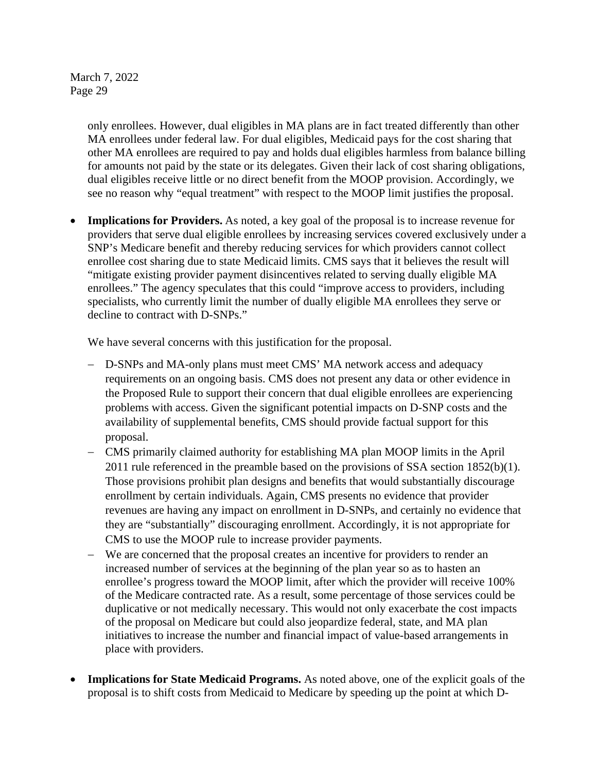> only enrollees. However, dual eligibles in MA plans are in fact treated differently than other MA enrollees under federal law. For dual eligibles, Medicaid pays for the cost sharing that other MA enrollees are required to pay and holds dual eligibles harmless from balance billing for amounts not paid by the state or its delegates. Given their lack of cost sharing obligations, dual eligibles receive little or no direct benefit from the MOOP provision. Accordingly, we see no reason why "equal treatment" with respect to the MOOP limit justifies the proposal.

• **Implications for Providers.** As noted, a key goal of the proposal is to increase revenue for providers that serve dual eligible enrollees by increasing services covered exclusively under a SNP's Medicare benefit and thereby reducing services for which providers cannot collect enrollee cost sharing due to state Medicaid limits. CMS says that it believes the result will "mitigate existing provider payment disincentives related to serving dually eligible MA enrollees." The agency speculates that this could "improve access to providers, including specialists, who currently limit the number of dually eligible MA enrollees they serve or decline to contract with D-SNPs."

We have several concerns with this justification for the proposal.

- − D-SNPs and MA-only plans must meet CMS' MA network access and adequacy requirements on an ongoing basis. CMS does not present any data or other evidence in the Proposed Rule to support their concern that dual eligible enrollees are experiencing problems with access. Given the significant potential impacts on D-SNP costs and the availability of supplemental benefits, CMS should provide factual support for this proposal.
- − CMS primarily claimed authority for establishing MA plan MOOP limits in the April 2011 rule referenced in the preamble based on the provisions of SSA section 1852(b)(1). Those provisions prohibit plan designs and benefits that would substantially discourage enrollment by certain individuals. Again, CMS presents no evidence that provider revenues are having any impact on enrollment in D-SNPs, and certainly no evidence that they are "substantially" discouraging enrollment. Accordingly, it is not appropriate for CMS to use the MOOP rule to increase provider payments.
- − We are concerned that the proposal creates an incentive for providers to render an increased number of services at the beginning of the plan year so as to hasten an enrollee's progress toward the MOOP limit, after which the provider will receive 100% of the Medicare contracted rate. As a result, some percentage of those services could be duplicative or not medically necessary. This would not only exacerbate the cost impacts of the proposal on Medicare but could also jeopardize federal, state, and MA plan initiatives to increase the number and financial impact of value-based arrangements in place with providers.
- **Implications for State Medicaid Programs.** As noted above, one of the explicit goals of the proposal is to shift costs from Medicaid to Medicare by speeding up the point at which D-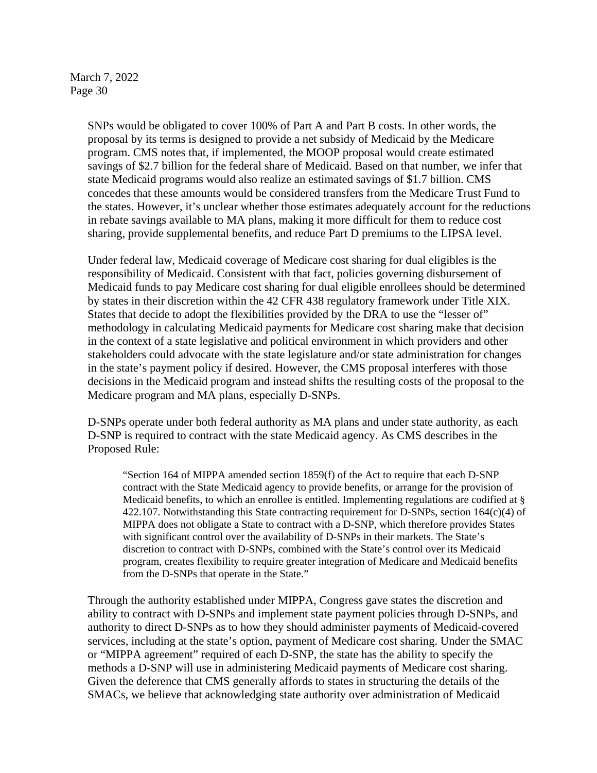> SNPs would be obligated to cover 100% of Part A and Part B costs. In other words, the proposal by its terms is designed to provide a net subsidy of Medicaid by the Medicare program. CMS notes that, if implemented, the MOOP proposal would create estimated savings of \$2.7 billion for the federal share of Medicaid. Based on that number, we infer that state Medicaid programs would also realize an estimated savings of \$1.7 billion. CMS concedes that these amounts would be considered transfers from the Medicare Trust Fund to the states. However, it's unclear whether those estimates adequately account for the reductions in rebate savings available to MA plans, making it more difficult for them to reduce cost sharing, provide supplemental benefits, and reduce Part D premiums to the LIPSA level.

Under federal law, Medicaid coverage of Medicare cost sharing for dual eligibles is the responsibility of Medicaid. Consistent with that fact, policies governing disbursement of Medicaid funds to pay Medicare cost sharing for dual eligible enrollees should be determined by states in their discretion within the 42 CFR 438 regulatory framework under Title XIX. States that decide to adopt the flexibilities provided by the DRA to use the "lesser of" methodology in calculating Medicaid payments for Medicare cost sharing make that decision in the context of a state legislative and political environment in which providers and other stakeholders could advocate with the state legislature and/or state administration for changes in the state's payment policy if desired. However, the CMS proposal interferes with those decisions in the Medicaid program and instead shifts the resulting costs of the proposal to the Medicare program and MA plans, especially D-SNPs.

D-SNPs operate under both federal authority as MA plans and under state authority, as each D-SNP is required to contract with the state Medicaid agency. As CMS describes in the Proposed Rule:

"Section 164 of MIPPA amended section 1859(f) of the Act to require that each D-SNP contract with the State Medicaid agency to provide benefits, or arrange for the provision of Medicaid benefits, to which an enrollee is entitled. Implementing regulations are codified at § 422.107. Notwithstanding this State contracting requirement for D-SNPs, section  $164(c)(4)$  of MIPPA does not obligate a State to contract with a D-SNP, which therefore provides States with significant control over the availability of D-SNPs in their markets. The State's discretion to contract with D-SNPs, combined with the State's control over its Medicaid program, creates flexibility to require greater integration of Medicare and Medicaid benefits from the D-SNPs that operate in the State."

Through the authority established under MIPPA, Congress gave states the discretion and ability to contract with D-SNPs and implement state payment policies through D-SNPs, and authority to direct D-SNPs as to how they should administer payments of Medicaid-covered services, including at the state's option, payment of Medicare cost sharing. Under the SMAC or "MIPPA agreement" required of each D-SNP, the state has the ability to specify the methods a D-SNP will use in administering Medicaid payments of Medicare cost sharing. Given the deference that CMS generally affords to states in structuring the details of the SMACs, we believe that acknowledging state authority over administration of Medicaid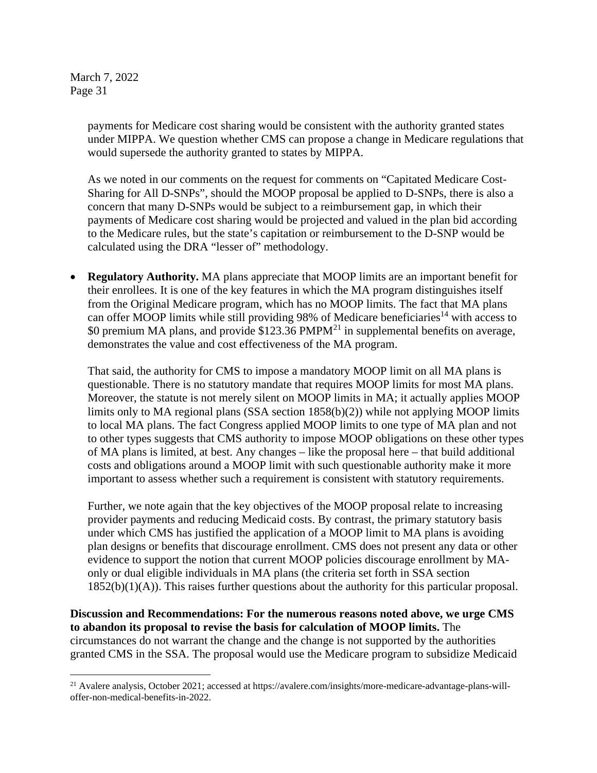> payments for Medicare cost sharing would be consistent with the authority granted states under MIPPA. We question whether CMS can propose a change in Medicare regulations that would supersede the authority granted to states by MIPPA.

As we noted in our comments on the request for comments on "Capitated Medicare Cost-Sharing for All D-SNPs", should the MOOP proposal be applied to D-SNPs, there is also a concern that many D-SNPs would be subject to a reimbursement gap, in which their payments of Medicare cost sharing would be projected and valued in the plan bid according to the Medicare rules, but the state's capitation or reimbursement to the D-SNP would be calculated using the DRA "lesser of" methodology.

• **Regulatory Authority.** MA plans appreciate that MOOP limits are an important benefit for their enrollees. It is one of the key features in which the MA program distinguishes itself from the Original Medicare program, which has no MOOP limits. The fact that MA plans can offer MOOP limits while still providing 98% of Medicare beneficiaries<sup>14</sup> with access to \$0 premium MA plans, and provide  $$123.36$  PMPM<sup>[21](#page-30-0)</sup> in supplemental benefits on average, demonstrates the value and cost effectiveness of the MA program.

That said, the authority for CMS to impose a mandatory MOOP limit on all MA plans is questionable. There is no statutory mandate that requires MOOP limits for most MA plans. Moreover, the statute is not merely silent on MOOP limits in MA; it actually applies MOOP limits only to MA regional plans (SSA section 1858(b)(2)) while not applying MOOP limits to local MA plans. The fact Congress applied MOOP limits to one type of MA plan and not to other types suggests that CMS authority to impose MOOP obligations on these other types of MA plans is limited, at best. Any changes – like the proposal here – that build additional costs and obligations around a MOOP limit with such questionable authority make it more important to assess whether such a requirement is consistent with statutory requirements.

Further, we note again that the key objectives of the MOOP proposal relate to increasing provider payments and reducing Medicaid costs. By contrast, the primary statutory basis under which CMS has justified the application of a MOOP limit to MA plans is avoiding plan designs or benefits that discourage enrollment. CMS does not present any data or other evidence to support the notion that current MOOP policies discourage enrollment by MAonly or dual eligible individuals in MA plans (the criteria set forth in SSA section 1852(b)(1)(A)). This raises further questions about the authority for this particular proposal.

**Discussion and Recommendations: For the numerous reasons noted above, we urge CMS to abandon its proposal to revise the basis for calculation of MOOP limits.** The circumstances do not warrant the change and the change is not supported by the authorities granted CMS in the SSA. The proposal would use the Medicare program to subsidize Medicaid

<span id="page-30-0"></span><sup>21</sup> Avalere analysis, October 2021; accessed at https://avalere.com/insights/more-medicare-advantage-plans-willoffer-non-medical-benefits-in-2022.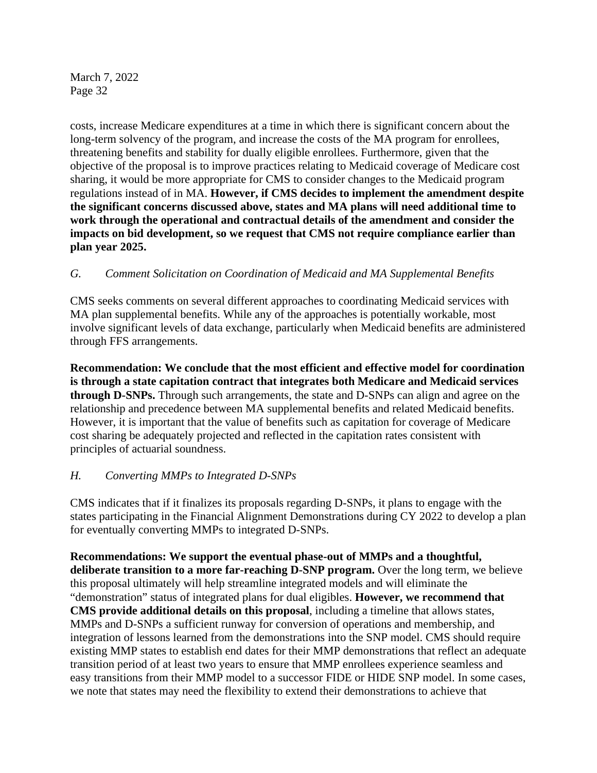costs, increase Medicare expenditures at a time in which there is significant concern about the long-term solvency of the program, and increase the costs of the MA program for enrollees, threatening benefits and stability for dually eligible enrollees. Furthermore, given that the objective of the proposal is to improve practices relating to Medicaid coverage of Medicare cost sharing, it would be more appropriate for CMS to consider changes to the Medicaid program regulations instead of in MA. **However, if CMS decides to implement the amendment despite the significant concerns discussed above, states and MA plans will need additional time to work through the operational and contractual details of the amendment and consider the impacts on bid development, so we request that CMS not require compliance earlier than plan year 2025.**

# *G. Comment Solicitation on Coordination of Medicaid and MA Supplemental Benefits*

CMS seeks comments on several different approaches to coordinating Medicaid services with MA plan supplemental benefits. While any of the approaches is potentially workable, most involve significant levels of data exchange, particularly when Medicaid benefits are administered through FFS arrangements.

**Recommendation: We conclude that the most efficient and effective model for coordination is through a state capitation contract that integrates both Medicare and Medicaid services through D-SNPs.** Through such arrangements, the state and D-SNPs can align and agree on the relationship and precedence between MA supplemental benefits and related Medicaid benefits. However, it is important that the value of benefits such as capitation for coverage of Medicare cost sharing be adequately projected and reflected in the capitation rates consistent with principles of actuarial soundness.

# *H. Converting MMPs to Integrated D-SNPs*

CMS indicates that if it finalizes its proposals regarding D-SNPs, it plans to engage with the states participating in the Financial Alignment Demonstrations during CY 2022 to develop a plan for eventually converting MMPs to integrated D-SNPs.

**Recommendations: We support the eventual phase-out of MMPs and a thoughtful, deliberate transition to a more far-reaching D-SNP program.** Over the long term, we believe this proposal ultimately will help streamline integrated models and will eliminate the "demonstration" status of integrated plans for dual eligibles. **However, we recommend that CMS provide additional details on this proposal**, including a timeline that allows states, MMPs and D-SNPs a sufficient runway for conversion of operations and membership, and integration of lessons learned from the demonstrations into the SNP model. CMS should require existing MMP states to establish end dates for their MMP demonstrations that reflect an adequate transition period of at least two years to ensure that MMP enrollees experience seamless and easy transitions from their MMP model to a successor FIDE or HIDE SNP model. In some cases, we note that states may need the flexibility to extend their demonstrations to achieve that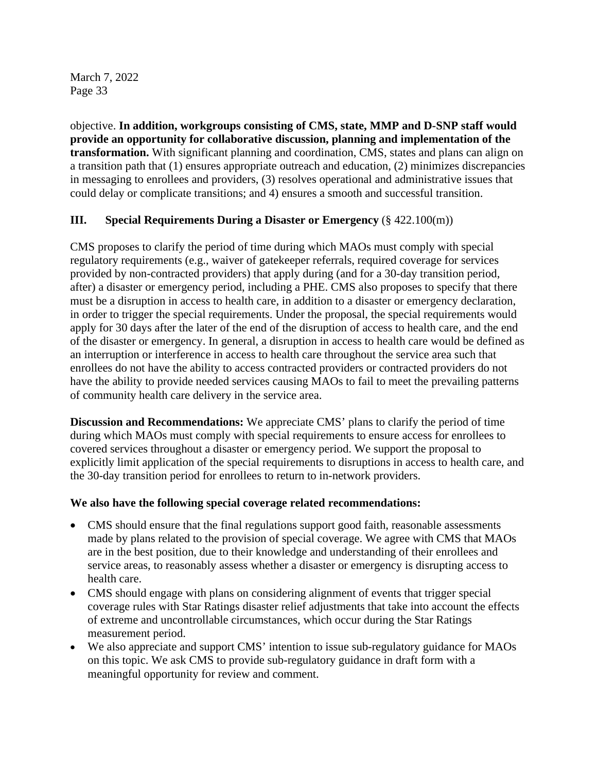objective. **In addition, workgroups consisting of CMS, state, MMP and D-SNP staff would provide an opportunity for collaborative discussion, planning and implementation of the transformation.** With significant planning and coordination, CMS, states and plans can align on a transition path that (1) ensures appropriate outreach and education, (2) minimizes discrepancies in messaging to enrollees and providers, (3) resolves operational and administrative issues that could delay or complicate transitions; and 4) ensures a smooth and successful transition.

# **III. Special Requirements During a Disaster or Emergency** (§ 422.100(m))

CMS proposes to clarify the period of time during which MAOs must comply with special regulatory requirements (e.g., waiver of gatekeeper referrals, required coverage for services provided by non-contracted providers) that apply during (and for a 30-day transition period, after) a disaster or emergency period, including a PHE. CMS also proposes to specify that there must be a disruption in access to health care, in addition to a disaster or emergency declaration, in order to trigger the special requirements. Under the proposal, the special requirements would apply for 30 days after the later of the end of the disruption of access to health care, and the end of the disaster or emergency. In general, a disruption in access to health care would be defined as an interruption or interference in access to health care throughout the service area such that enrollees do not have the ability to access contracted providers or contracted providers do not have the ability to provide needed services causing MAOs to fail to meet the prevailing patterns of community health care delivery in the service area.

**Discussion and Recommendations:** We appreciate CMS' plans to clarify the period of time during which MAOs must comply with special requirements to ensure access for enrollees to covered services throughout a disaster or emergency period. We support the proposal to explicitly limit application of the special requirements to disruptions in access to health care, and the 30-day transition period for enrollees to return to in-network providers.

#### **We also have the following special coverage related recommendations:**

- CMS should ensure that the final regulations support good faith, reasonable assessments made by plans related to the provision of special coverage. We agree with CMS that MAOs are in the best position, due to their knowledge and understanding of their enrollees and service areas, to reasonably assess whether a disaster or emergency is disrupting access to health care.
- CMS should engage with plans on considering alignment of events that trigger special coverage rules with Star Ratings disaster relief adjustments that take into account the effects of extreme and uncontrollable circumstances, which occur during the Star Ratings measurement period.
- We also appreciate and support CMS' intention to issue sub-regulatory guidance for MAOs on this topic. We ask CMS to provide sub-regulatory guidance in draft form with a meaningful opportunity for review and comment.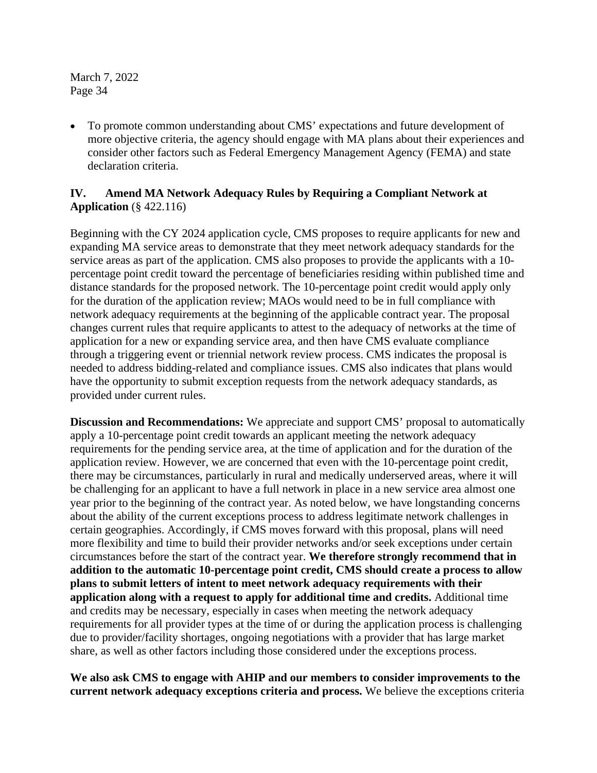• To promote common understanding about CMS' expectations and future development of more objective criteria, the agency should engage with MA plans about their experiences and consider other factors such as Federal Emergency Management Agency (FEMA) and state declaration criteria.

## **IV. Amend MA Network Adequacy Rules by Requiring a Compliant Network at Application** (§ 422.116)

Beginning with the CY 2024 application cycle, CMS proposes to require applicants for new and expanding MA service areas to demonstrate that they meet network adequacy standards for the service areas as part of the application. CMS also proposes to provide the applicants with a 10 percentage point credit toward the percentage of beneficiaries residing within published time and distance standards for the proposed network. The 10-percentage point credit would apply only for the duration of the application review; MAOs would need to be in full compliance with network adequacy requirements at the beginning of the applicable contract year. The proposal changes current rules that require applicants to attest to the adequacy of networks at the time of application for a new or expanding service area, and then have CMS evaluate compliance through a triggering event or triennial network review process. CMS indicates the proposal is needed to address bidding-related and compliance issues. CMS also indicates that plans would have the opportunity to submit exception requests from the network adequacy standards, as provided under current rules.

**Discussion and Recommendations:** We appreciate and support CMS' proposal to automatically apply a 10-percentage point credit towards an applicant meeting the network adequacy requirements for the pending service area, at the time of application and for the duration of the application review. However, we are concerned that even with the 10-percentage point credit, there may be circumstances, particularly in rural and medically underserved areas, where it will be challenging for an applicant to have a full network in place in a new service area almost one year prior to the beginning of the contract year. As noted below, we have longstanding concerns about the ability of the current exceptions process to address legitimate network challenges in certain geographies. Accordingly, if CMS moves forward with this proposal, plans will need more flexibility and time to build their provider networks and/or seek exceptions under certain circumstances before the start of the contract year. **We therefore strongly recommend that in addition to the automatic 10-percentage point credit, CMS should create a process to allow plans to submit letters of intent to meet network adequacy requirements with their application along with a request to apply for additional time and credits.** Additional time and credits may be necessary, especially in cases when meeting the network adequacy requirements for all provider types at the time of or during the application process is challenging due to provider/facility shortages, ongoing negotiations with a provider that has large market share, as well as other factors including those considered under the exceptions process.

**We also ask CMS to engage with AHIP and our members to consider improvements to the current network adequacy exceptions criteria and process.** We believe the exceptions criteria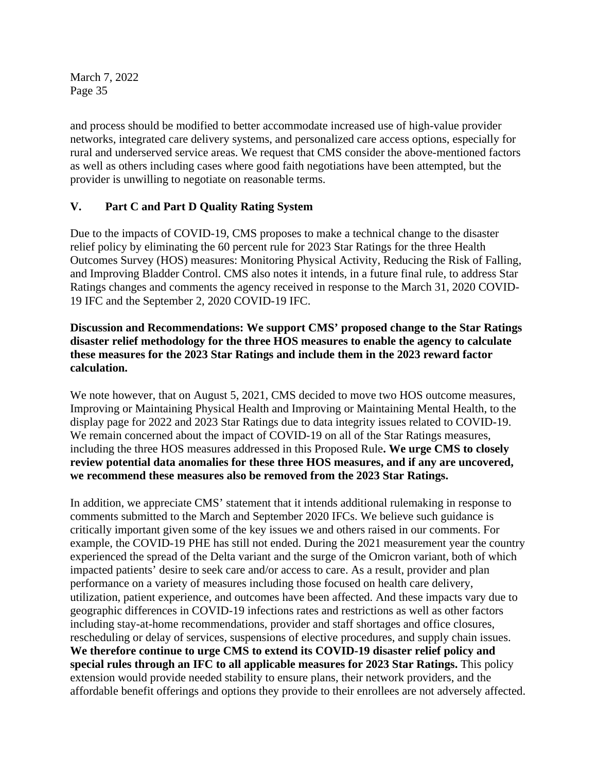and process should be modified to better accommodate increased use of high-value provider networks, integrated care delivery systems, and personalized care access options, especially for rural and underserved service areas. We request that CMS consider the above-mentioned factors as well as others including cases where good faith negotiations have been attempted, but the provider is unwilling to negotiate on reasonable terms.

# **V. Part C and Part D Quality Rating System**

Due to the impacts of COVID-19, CMS proposes to make a technical change to the disaster relief policy by eliminating the 60 percent rule for 2023 Star Ratings for the three Health Outcomes Survey (HOS) measures: Monitoring Physical Activity, Reducing the Risk of Falling, and Improving Bladder Control. CMS also notes it intends, in a future final rule, to address Star Ratings changes and comments the agency received in response to the March 31, 2020 COVID-19 IFC and the September 2, 2020 COVID-19 IFC.

# **Discussion and Recommendations: We support CMS' proposed change to the Star Ratings disaster relief methodology for the three HOS measures to enable the agency to calculate these measures for the 2023 Star Ratings and include them in the 2023 reward factor calculation.**

We note however, that on August 5, 2021, CMS decided to move two HOS outcome measures, Improving or Maintaining Physical Health and Improving or Maintaining Mental Health, to the display page for 2022 and 2023 Star Ratings due to data integrity issues related to COVID-19. We remain concerned about the impact of COVID-19 on all of the Star Ratings measures, including the three HOS measures addressed in this Proposed Rule**. We urge CMS to closely review potential data anomalies for these three HOS measures, and if any are uncovered, we recommend these measures also be removed from the 2023 Star Ratings.**

In addition, we appreciate CMS' statement that it intends additional rulemaking in response to comments submitted to the March and September 2020 IFCs. We believe such guidance is critically important given some of the key issues we and others raised in our comments. For example, the COVID-19 PHE has still not ended. During the 2021 measurement year the country experienced the spread of the Delta variant and the surge of the Omicron variant, both of which impacted patients' desire to seek care and/or access to care. As a result, provider and plan performance on a variety of measures including those focused on health care delivery, utilization, patient experience, and outcomes have been affected. And these impacts vary due to geographic differences in COVID-19 infections rates and restrictions as well as other factors including stay-at-home recommendations, provider and staff shortages and office closures, rescheduling or delay of services, suspensions of elective procedures, and supply chain issues. **We therefore continue to urge CMS to extend its COVID-19 disaster relief policy and special rules through an IFC to all applicable measures for 2023 Star Ratings.** This policy extension would provide needed stability to ensure plans, their network providers, and the affordable benefit offerings and options they provide to their enrollees are not adversely affected.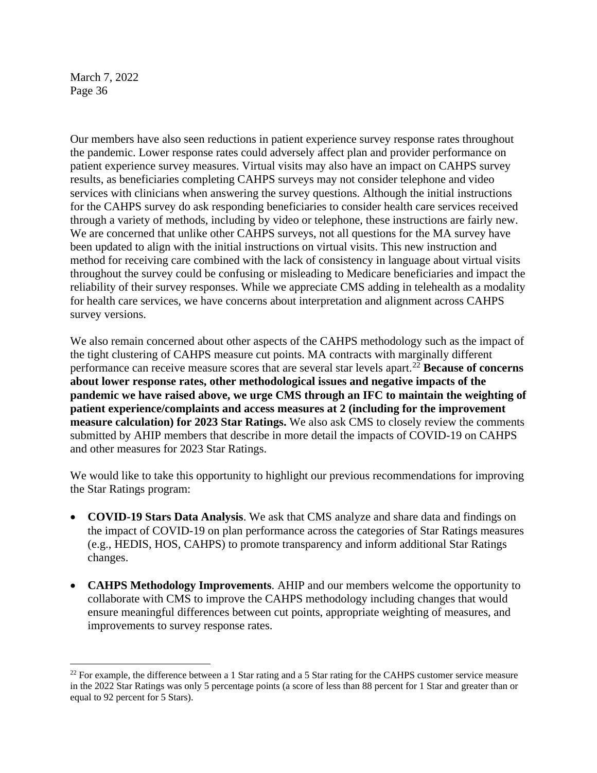Our members have also seen reductions in patient experience survey response rates throughout the pandemic. Lower response rates could adversely affect plan and provider performance on patient experience survey measures. Virtual visits may also have an impact on CAHPS survey results, as beneficiaries completing CAHPS surveys may not consider telephone and video services with clinicians when answering the survey questions. Although the initial instructions for the CAHPS survey do ask responding beneficiaries to consider health care services received through a variety of methods, including by video or telephone, these instructions are fairly new. We are concerned that unlike other CAHPS surveys, not all questions for the MA survey have been updated to align with the initial instructions on virtual visits. This new instruction and method for receiving care combined with the lack of consistency in language about virtual visits throughout the survey could be confusing or misleading to Medicare beneficiaries and impact the reliability of their survey responses. While we appreciate CMS adding in telehealth as a modality for health care services, we have concerns about interpretation and alignment across CAHPS survey versions.

We also remain concerned about other aspects of the CAHPS methodology such as the impact of the tight clustering of CAHPS measure cut points. MA contracts with marginally different performance can receive measure scores that are several star levels apart.[22](#page-35-0) **Because of concerns about lower response rates, other methodological issues and negative impacts of the pandemic we have raised above, we urge CMS through an IFC to maintain the weighting of patient experience/complaints and access measures at 2 (including for the improvement measure calculation) for 2023 Star Ratings.** We also ask CMS to closely review the comments submitted by AHIP members that describe in more detail the impacts of COVID-19 on CAHPS and other measures for 2023 Star Ratings.

We would like to take this opportunity to highlight our previous recommendations for improving the Star Ratings program:

- **COVID-19 Stars Data Analysis**. We ask that CMS analyze and share data and findings on the impact of COVID-19 on plan performance across the categories of Star Ratings measures (e.g., HEDIS, HOS, CAHPS) to promote transparency and inform additional Star Ratings changes.
- **CAHPS Methodology Improvements**. AHIP and our members welcome the opportunity to collaborate with CMS to improve the CAHPS methodology including changes that would ensure meaningful differences between cut points, appropriate weighting of measures, and improvements to survey response rates.

<span id="page-35-0"></span><sup>&</sup>lt;sup>22</sup> For example, the difference between a 1 Star rating and a 5 Star rating for the CAHPS customer service measure in the 2022 Star Ratings was only 5 percentage points (a score of less than 88 percent for 1 Star and greater than or equal to 92 percent for 5 Stars).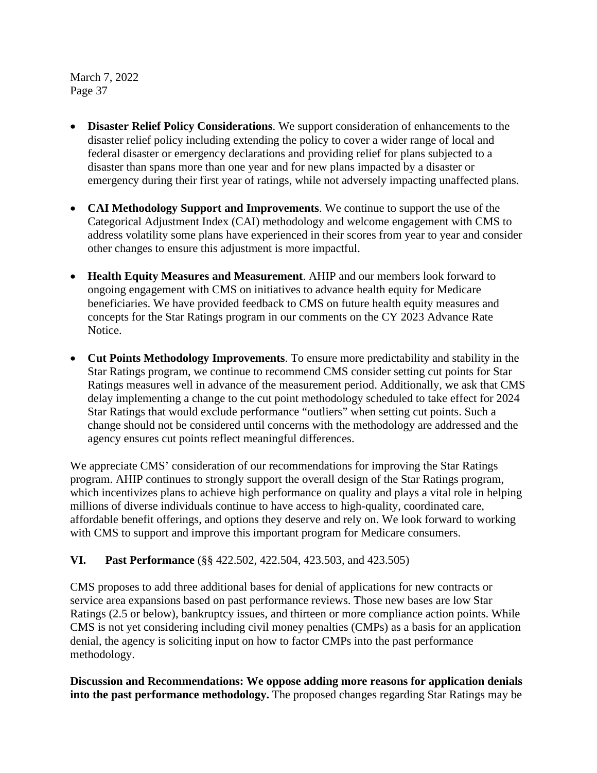- **Disaster Relief Policy Considerations**. We support consideration of enhancements to the disaster relief policy including extending the policy to cover a wider range of local and federal disaster or emergency declarations and providing relief for plans subjected to a disaster than spans more than one year and for new plans impacted by a disaster or emergency during their first year of ratings, while not adversely impacting unaffected plans.
- **CAI Methodology Support and Improvements**. We continue to support the use of the Categorical Adjustment Index (CAI) methodology and welcome engagement with CMS to address volatility some plans have experienced in their scores from year to year and consider other changes to ensure this adjustment is more impactful.
- **Health Equity Measures and Measurement**. AHIP and our members look forward to ongoing engagement with CMS on initiatives to advance health equity for Medicare beneficiaries. We have provided feedback to CMS on future health equity measures and concepts for the Star Ratings program in our comments on the CY 2023 Advance Rate Notice.
- **Cut Points Methodology Improvements**. To ensure more predictability and stability in the Star Ratings program, we continue to recommend CMS consider setting cut points for Star Ratings measures well in advance of the measurement period. Additionally, we ask that CMS delay implementing a change to the cut point methodology scheduled to take effect for 2024 Star Ratings that would exclude performance "outliers" when setting cut points. Such a change should not be considered until concerns with the methodology are addressed and the agency ensures cut points reflect meaningful differences.

We appreciate CMS' consideration of our recommendations for improving the Star Ratings program. AHIP continues to strongly support the overall design of the Star Ratings program, which incentivizes plans to achieve high performance on quality and plays a vital role in helping millions of diverse individuals continue to have access to high-quality, coordinated care, affordable benefit offerings, and options they deserve and rely on. We look forward to working with CMS to support and improve this important program for Medicare consumers.

**VI. Past Performance** (§§ 422.502, 422.504, 423.503, and 423.505)

CMS proposes to add three additional bases for denial of applications for new contracts or service area expansions based on past performance reviews. Those new bases are low Star Ratings (2.5 or below), bankruptcy issues, and thirteen or more compliance action points. While CMS is not yet considering including civil money penalties (CMPs) as a basis for an application denial, the agency is soliciting input on how to factor CMPs into the past performance methodology.

**Discussion and Recommendations: We oppose adding more reasons for application denials into the past performance methodology.** The proposed changes regarding Star Ratings may be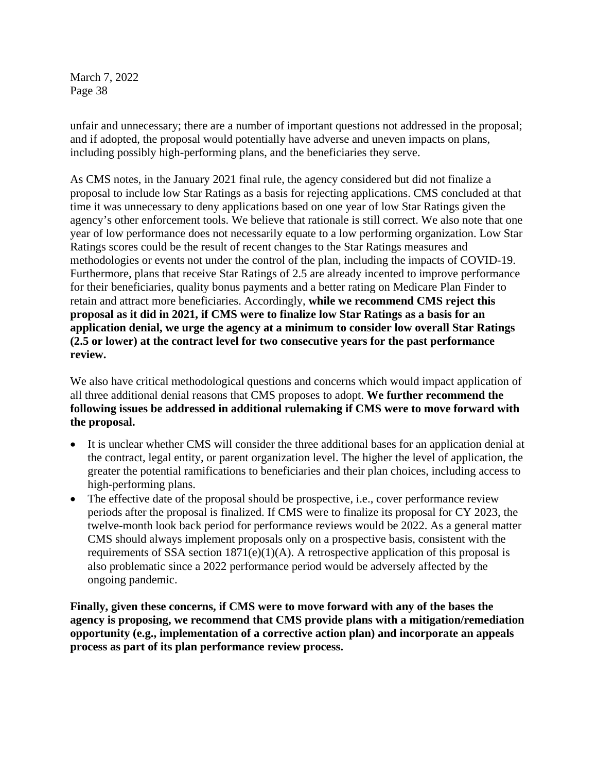unfair and unnecessary; there are a number of important questions not addressed in the proposal; and if adopted, the proposal would potentially have adverse and uneven impacts on plans, including possibly high-performing plans, and the beneficiaries they serve.

As CMS notes, in the January 2021 final rule, the agency considered but did not finalize a proposal to include low Star Ratings as a basis for rejecting applications. CMS concluded at that time it was unnecessary to deny applications based on one year of low Star Ratings given the agency's other enforcement tools. We believe that rationale is still correct. We also note that one year of low performance does not necessarily equate to a low performing organization. Low Star Ratings scores could be the result of recent changes to the Star Ratings measures and methodologies or events not under the control of the plan, including the impacts of COVID-19. Furthermore, plans that receive Star Ratings of 2.5 are already incented to improve performance for their beneficiaries, quality bonus payments and a better rating on Medicare Plan Finder to retain and attract more beneficiaries. Accordingly, **while we recommend CMS reject this proposal as it did in 2021, if CMS were to finalize low Star Ratings as a basis for an application denial, we urge the agency at a minimum to consider low overall Star Ratings (2.5 or lower) at the contract level for two consecutive years for the past performance review.**

We also have critical methodological questions and concerns which would impact application of all three additional denial reasons that CMS proposes to adopt. **We further recommend the following issues be addressed in additional rulemaking if CMS were to move forward with the proposal.**

- It is unclear whether CMS will consider the three additional bases for an application denial at the contract, legal entity, or parent organization level. The higher the level of application, the greater the potential ramifications to beneficiaries and their plan choices, including access to high-performing plans.
- The effective date of the proposal should be prospective, i.e., cover performance review periods after the proposal is finalized. If CMS were to finalize its proposal for CY 2023, the twelve-month look back period for performance reviews would be 2022. As a general matter CMS should always implement proposals only on a prospective basis, consistent with the requirements of SSA section  $1871(e)(1)(A)$ . A retrospective application of this proposal is also problematic since a 2022 performance period would be adversely affected by the ongoing pandemic.

**Finally, given these concerns, if CMS were to move forward with any of the bases the agency is proposing, we recommend that CMS provide plans with a mitigation/remediation opportunity (e.g., implementation of a corrective action plan) and incorporate an appeals process as part of its plan performance review process.**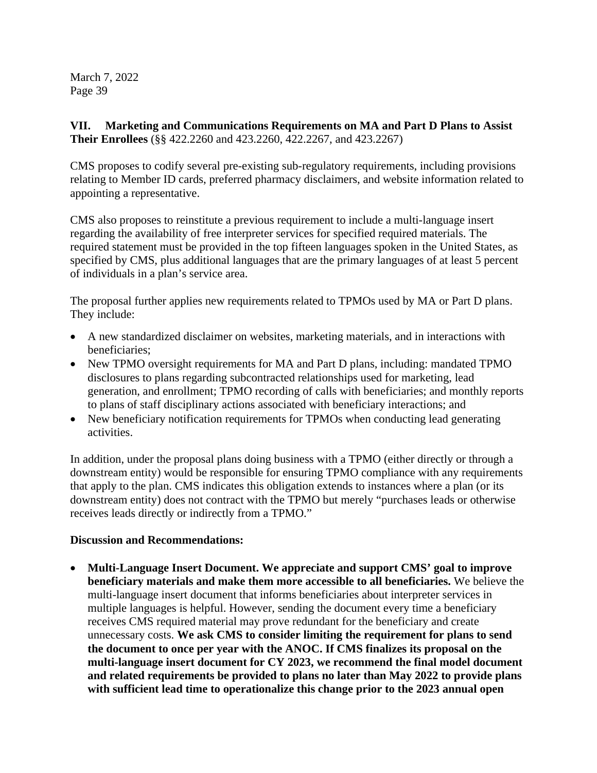**VII. Marketing and Communications Requirements on MA and Part D Plans to Assist Their Enrollees** (§§ 422.2260 and 423.2260, 422.2267, and 423.2267)

CMS proposes to codify several pre-existing sub-regulatory requirements, including provisions relating to Member ID cards, preferred pharmacy disclaimers, and website information related to appointing a representative.

CMS also proposes to reinstitute a previous requirement to include a multi-language insert regarding the availability of free interpreter services for specified required materials. The required statement must be provided in the top fifteen languages spoken in the United States, as specified by CMS, plus additional languages that are the primary languages of at least 5 percent of individuals in a plan's service area.

The proposal further applies new requirements related to TPMOs used by MA or Part D plans. They include:

- A new standardized disclaimer on websites, marketing materials, and in interactions with beneficiaries;
- New TPMO oversight requirements for MA and Part D plans, including: mandated TPMO disclosures to plans regarding subcontracted relationships used for marketing, lead generation, and enrollment; TPMO recording of calls with beneficiaries; and monthly reports to plans of staff disciplinary actions associated with beneficiary interactions; and
- New beneficiary notification requirements for TPMOs when conducting lead generating activities.

In addition, under the proposal plans doing business with a TPMO (either directly or through a downstream entity) would be responsible for ensuring TPMO compliance with any requirements that apply to the plan. CMS indicates this obligation extends to instances where a plan (or its downstream entity) does not contract with the TPMO but merely "purchases leads or otherwise receives leads directly or indirectly from a TPMO."

# **Discussion and Recommendations:**

• **Multi-Language Insert Document. We appreciate and support CMS' goal to improve beneficiary materials and make them more accessible to all beneficiaries.** We believe the multi-language insert document that informs beneficiaries about interpreter services in multiple languages is helpful. However, sending the document every time a beneficiary receives CMS required material may prove redundant for the beneficiary and create unnecessary costs. **We ask CMS to consider limiting the requirement for plans to send the document to once per year with the ANOC. If CMS finalizes its proposal on the multi-language insert document for CY 2023, we recommend the final model document and related requirements be provided to plans no later than May 2022 to provide plans with sufficient lead time to operationalize this change prior to the 2023 annual open**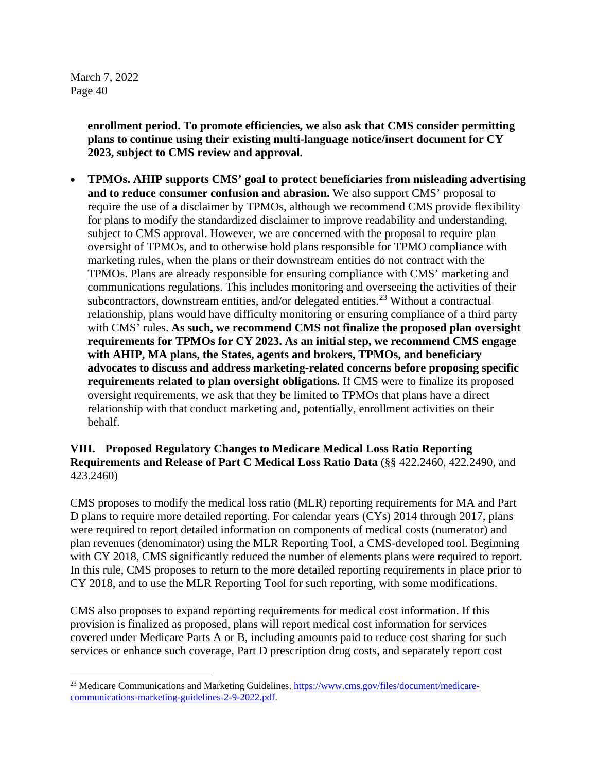> **enrollment period. To promote efficiencies, we also ask that CMS consider permitting plans to continue using their existing multi-language notice/insert document for CY 2023, subject to CMS review and approval.**

• **TPMOs. AHIP supports CMS' goal to protect beneficiaries from misleading advertising and to reduce consumer confusion and abrasion.** We also support CMS' proposal to require the use of a disclaimer by TPMOs, although we recommend CMS provide flexibility for plans to modify the standardized disclaimer to improve readability and understanding, subject to CMS approval. However, we are concerned with the proposal to require plan oversight of TPMOs, and to otherwise hold plans responsible for TPMO compliance with marketing rules, when the plans or their downstream entities do not contract with the TPMOs. Plans are already responsible for ensuring compliance with CMS' marketing and communications regulations. This includes monitoring and overseeing the activities of their subcontractors, downstream entities, and/or delegated entities.<sup>[23](#page-39-0)</sup> Without a contractual relationship, plans would have difficulty monitoring or ensuring compliance of a third party with CMS' rules. **As such, we recommend CMS not finalize the proposed plan oversight requirements for TPMOs for CY 2023. As an initial step, we recommend CMS engage with AHIP, MA plans, the States, agents and brokers, TPMOs, and beneficiary advocates to discuss and address marketing-related concerns before proposing specific requirements related to plan oversight obligations.** If CMS were to finalize its proposed oversight requirements, we ask that they be limited to TPMOs that plans have a direct relationship with that conduct marketing and, potentially, enrollment activities on their behalf.

## **VIII. Proposed Regulatory Changes to Medicare Medical Loss Ratio Reporting Requirements and Release of Part C Medical Loss Ratio Data** (§§ 422.2460, 422.2490, and 423.2460)

CMS proposes to modify the medical loss ratio (MLR) reporting requirements for MA and Part D plans to require more detailed reporting. For calendar years (CYs) 2014 through 2017, plans were required to report detailed information on components of medical costs (numerator) and plan revenues (denominator) using the MLR Reporting Tool, a CMS-developed tool. Beginning with CY 2018, CMS significantly reduced the number of elements plans were required to report. In this rule, CMS proposes to return to the more detailed reporting requirements in place prior to CY 2018, and to use the MLR Reporting Tool for such reporting, with some modifications.

CMS also proposes to expand reporting requirements for medical cost information. If this provision is finalized as proposed, plans will report medical cost information for services covered under Medicare Parts A or B, including amounts paid to reduce cost sharing for such services or enhance such coverage, Part D prescription drug costs, and separately report cost

<span id="page-39-0"></span><sup>&</sup>lt;sup>23</sup> Medicare Communications and Marketing Guidelines[. https://www.cms.gov/files/document/medicare](https://www.cms.gov/files/document/medicare-communications-marketing-guidelines-2-9-2022.pdf)[communications-marketing-guidelines-2-9-2022.pdf.](https://www.cms.gov/files/document/medicare-communications-marketing-guidelines-2-9-2022.pdf)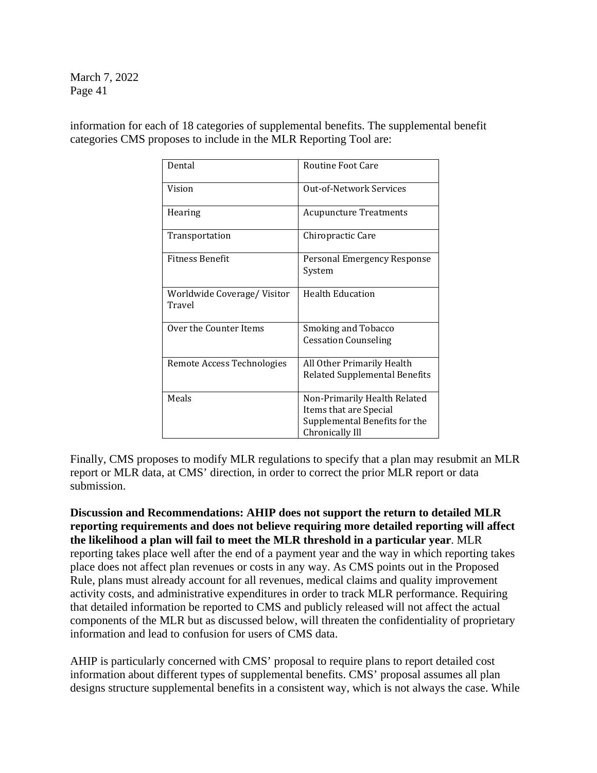information for each of 18 categories of supplemental benefits. The supplemental benefit categories CMS proposes to include in the MLR Reporting Tool are:

| Dental                               | <b>Routine Foot Care</b>                                                                                   |
|--------------------------------------|------------------------------------------------------------------------------------------------------------|
| Vision                               | Out-of-Network Services                                                                                    |
| Hearing                              | <b>Acupuncture Treatments</b>                                                                              |
| Transportation                       | Chiropractic Care                                                                                          |
| <b>Fitness Benefit</b>               | Personal Emergency Response<br>System                                                                      |
| Worldwide Coverage/Visitor<br>Travel | <b>Health Education</b>                                                                                    |
| Over the Counter Items               | Smoking and Tobacco<br><b>Cessation Counseling</b>                                                         |
| Remote Access Technologies           | All Other Primarily Health<br>Related Supplemental Benefits                                                |
| Meals                                | Non-Primarily Health Related<br>Items that are Special<br>Supplemental Benefits for the<br>Chronically Ill |

Finally, CMS proposes to modify MLR regulations to specify that a plan may resubmit an MLR report or MLR data, at CMS' direction, in order to correct the prior MLR report or data submission.

**Discussion and Recommendations: AHIP does not support the return to detailed MLR reporting requirements and does not believe requiring more detailed reporting will affect the likelihood a plan will fail to meet the MLR threshold in a particular year**. MLR reporting takes place well after the end of a payment year and the way in which reporting takes place does not affect plan revenues or costs in any way. As CMS points out in the Proposed Rule, plans must already account for all revenues, medical claims and quality improvement activity costs, and administrative expenditures in order to track MLR performance. Requiring that detailed information be reported to CMS and publicly released will not affect the actual components of the MLR but as discussed below, will threaten the confidentiality of proprietary information and lead to confusion for users of CMS data.

AHIP is particularly concerned with CMS' proposal to require plans to report detailed cost information about different types of supplemental benefits. CMS' proposal assumes all plan designs structure supplemental benefits in a consistent way, which is not always the case. While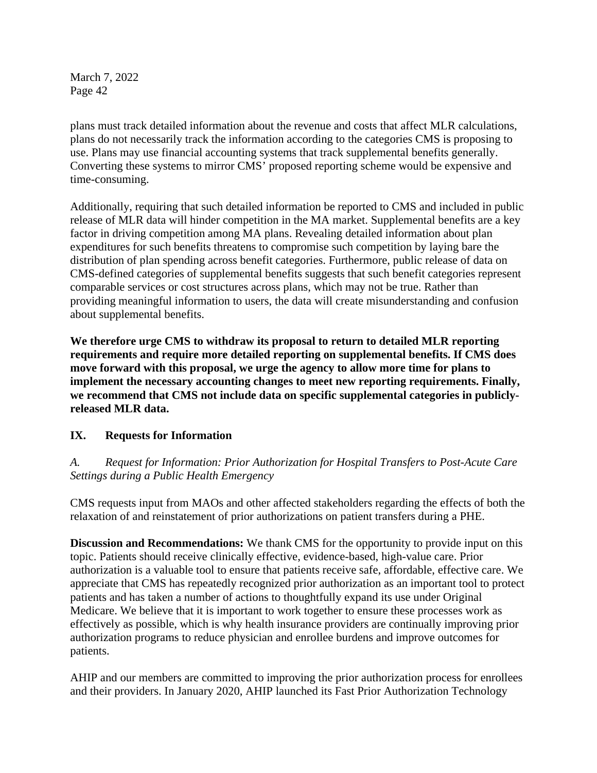plans must track detailed information about the revenue and costs that affect MLR calculations, plans do not necessarily track the information according to the categories CMS is proposing to use. Plans may use financial accounting systems that track supplemental benefits generally. Converting these systems to mirror CMS' proposed reporting scheme would be expensive and time-consuming.

Additionally, requiring that such detailed information be reported to CMS and included in public release of MLR data will hinder competition in the MA market. Supplemental benefits are a key factor in driving competition among MA plans. Revealing detailed information about plan expenditures for such benefits threatens to compromise such competition by laying bare the distribution of plan spending across benefit categories. Furthermore, public release of data on CMS-defined categories of supplemental benefits suggests that such benefit categories represent comparable services or cost structures across plans, which may not be true. Rather than providing meaningful information to users, the data will create misunderstanding and confusion about supplemental benefits.

**We therefore urge CMS to withdraw its proposal to return to detailed MLR reporting requirements and require more detailed reporting on supplemental benefits. If CMS does move forward with this proposal, we urge the agency to allow more time for plans to implement the necessary accounting changes to meet new reporting requirements. Finally, we recommend that CMS not include data on specific supplemental categories in publiclyreleased MLR data.** 

# **IX. Requests for Information**

# *A. Request for Information: Prior Authorization for Hospital Transfers to Post-Acute Care Settings during a Public Health Emergency*

CMS requests input from MAOs and other affected stakeholders regarding the effects of both the relaxation of and reinstatement of prior authorizations on patient transfers during a PHE.

**Discussion and Recommendations:** We thank CMS for the opportunity to provide input on this topic. Patients should receive clinically effective, evidence-based, high-value care. Prior authorization is a valuable tool to ensure that patients receive safe, affordable, effective care. We appreciate that CMS has repeatedly recognized prior authorization as an important tool to protect patients and has taken a number of actions to thoughtfully expand its use under Original Medicare. We believe that it is important to work together to ensure these processes work as effectively as possible, which is why health insurance providers are continually improving prior authorization programs to reduce physician and enrollee burdens and improve outcomes for patients.

AHIP and our members are committed to improving the prior authorization process for enrollees and their providers. In January 2020, AHIP launched its Fast Prior Authorization Technology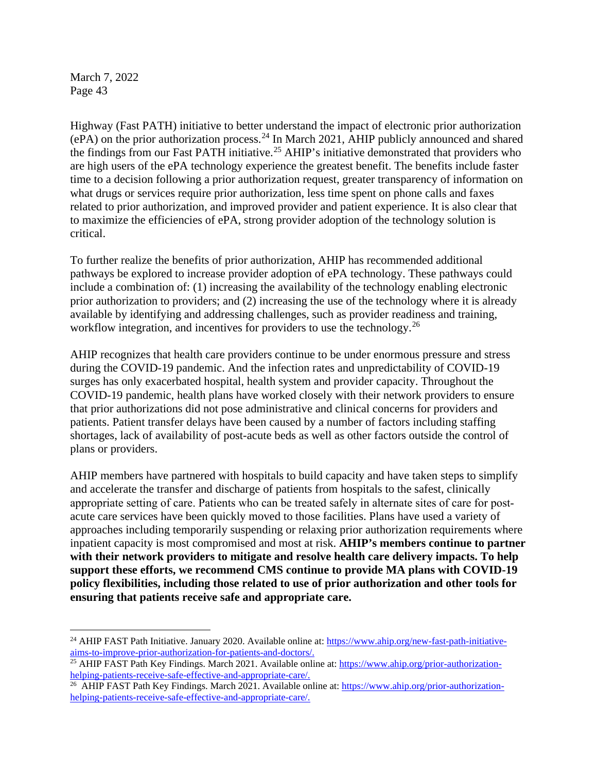Highway (Fast PATH) initiative to better understand the impact of electronic prior authorization (ePA) on the prior authorization process.[24](#page-42-0) In March 2021, AHIP publicly announced and shared the findings from our Fast PATH initiative.<sup>[25](#page-42-1)</sup> AHIP's initiative demonstrated that providers who are high users of the ePA technology experience the greatest benefit. The benefits include faster time to a decision following a prior authorization request, greater transparency of information on what drugs or services require prior authorization, less time spent on phone calls and faxes related to prior authorization, and improved provider and patient experience. It is also clear that to maximize the efficiencies of ePA, strong provider adoption of the technology solution is critical.

To further realize the benefits of prior authorization, AHIP has recommended additional pathways be explored to increase provider adoption of ePA technology. These pathways could include a combination of: (1) increasing the availability of the technology enabling electronic prior authorization to providers; and (2) increasing the use of the technology where it is already available by identifying and addressing challenges, such as provider readiness and training, workflow integration, and incentives for providers to use the technology.<sup>[26](#page-42-2)</sup>

AHIP recognizes that health care providers continue to be under enormous pressure and stress during the COVID-19 pandemic. And the infection rates and unpredictability of COVID-19 surges has only exacerbated hospital, health system and provider capacity. Throughout the COVID-19 pandemic, health plans have worked closely with their network providers to ensure that prior authorizations did not pose administrative and clinical concerns for providers and patients. Patient transfer delays have been caused by a number of factors including staffing shortages, lack of availability of post-acute beds as well as other factors outside the control of plans or providers.

AHIP members have partnered with hospitals to build capacity and have taken steps to simplify and accelerate the transfer and discharge of patients from hospitals to the safest, clinically appropriate setting of care. Patients who can be treated safely in alternate sites of care for postacute care services have been quickly moved to those facilities. Plans have used a variety of approaches including temporarily suspending or relaxing prior authorization requirements where inpatient capacity is most compromised and most at risk. **AHIP's members continue to partner with their network providers to mitigate and resolve health care delivery impacts. To help support these efforts, we recommend CMS continue to provide MA plans with COVID-19 policy flexibilities, including those related to use of prior authorization and other tools for ensuring that patients receive safe and appropriate care.**

<span id="page-42-0"></span><sup>&</sup>lt;sup>24</sup> AHIP FAST Path Initiative. January 2020. Available online at: [https://www.ahip.org/new-fast-path-initiative](https://www.ahip.org/new-fast-path-initiative-aims-to-improve-prior-authorization-for-patients-and-doctors/)[aims-to-improve-prior-authorization-for-patients-and-doctors/.](https://www.ahip.org/new-fast-path-initiative-aims-to-improve-prior-authorization-for-patients-and-doctors/)

<span id="page-42-1"></span><sup>&</sup>lt;sup>25</sup> AHIP FAST Path Key Findings. March 2021. Available online at: [https://www.ahip.org/prior-authorization](https://www.ahip.org/prior-authorization-helping-patients-receive-safe-effective-and-appropriate-care/)[helping-patients-receive-safe-effective-and-appropriate-care/.](https://www.ahip.org/prior-authorization-helping-patients-receive-safe-effective-and-appropriate-care/)

<span id="page-42-2"></span><sup>&</sup>lt;sup>26</sup> AHIP FAST Path Key Findings. March 2021. Available online at[: https://www.ahip.org/prior-authorization](https://www.ahip.org/prior-authorization-helping-patients-receive-safe-effective-and-appropriate-care/)[helping-patients-receive-safe-effective-and-appropriate-care/.](https://www.ahip.org/prior-authorization-helping-patients-receive-safe-effective-and-appropriate-care/)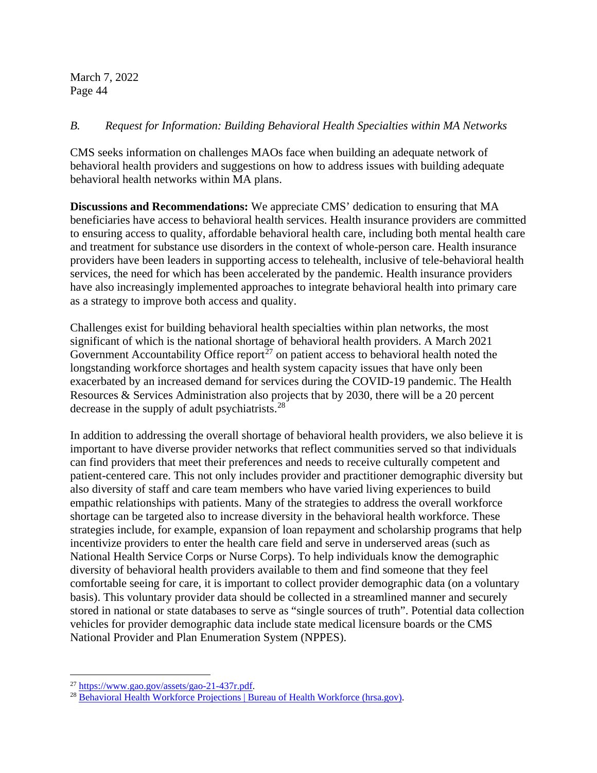## *B. Request for Information: Building Behavioral Health Specialties within MA Networks*

CMS seeks information on challenges MAOs face when building an adequate network of behavioral health providers and suggestions on how to address issues with building adequate behavioral health networks within MA plans.

**Discussions and Recommendations:** We appreciate CMS' dedication to ensuring that MA beneficiaries have access to behavioral health services. Health insurance providers are committed to ensuring access to quality, affordable behavioral health care, including both mental health care and treatment for substance use disorders in the context of whole-person care. Health insurance providers have been leaders in supporting access to telehealth, inclusive of tele-behavioral health services, the need for which has been accelerated by the pandemic. Health insurance providers have also increasingly implemented approaches to integrate behavioral health into primary care as a strategy to improve both access and quality.

Challenges exist for building behavioral health specialties within plan networks, the most significant of which is the national shortage of behavioral health providers. A March 2021 Government Accountability Office report<sup>[27](#page-43-0)</sup> on patient access to behavioral health noted the longstanding workforce shortages and health system capacity issues that have only been exacerbated by an increased demand for services during the COVID-19 pandemic. The Health Resources & Services Administration also projects that by 2030, there will be a 20 percent decrease in the supply of adult psychiatrists.<sup>[28](#page-43-1)</sup>

In addition to addressing the overall shortage of behavioral health providers, we also believe it is important to have diverse provider networks that reflect communities served so that individuals can find providers that meet their preferences and needs to receive culturally competent and patient-centered care. This not only includes provider and practitioner demographic diversity but also diversity of staff and care team members who have varied living experiences to build empathic relationships with patients. Many of the strategies to address the overall workforce shortage can be targeted also to increase diversity in the behavioral health workforce. These strategies include, for example, expansion of loan repayment and scholarship programs that help incentivize providers to enter the health care field and serve in underserved areas (such as National Health Service Corps or Nurse Corps). To help individuals know the demographic diversity of behavioral health providers available to them and find someone that they feel comfortable seeing for care, it is important to collect provider demographic data (on a voluntary basis). This voluntary provider data should be collected in a streamlined manner and securely stored in national or state databases to serve as "single sources of truth". Potential data collection vehicles for provider demographic data include state medical licensure boards or the CMS National Provider and Plan Enumeration System (NPPES).

<span id="page-43-0"></span><sup>27</sup> [https://www.gao.gov/assets/gao-21-437r.pdf.](https://www.gao.gov/assets/gao-21-437r.pdf)

<span id="page-43-1"></span><sup>&</sup>lt;sup>28</sup> [Behavioral Health Workforce Projections | Bureau of Health Workforce \(hrsa.gov\).](https://bhw.hrsa.gov/data-research/projecting-health-workforce-supply-demand/behavioral-health)